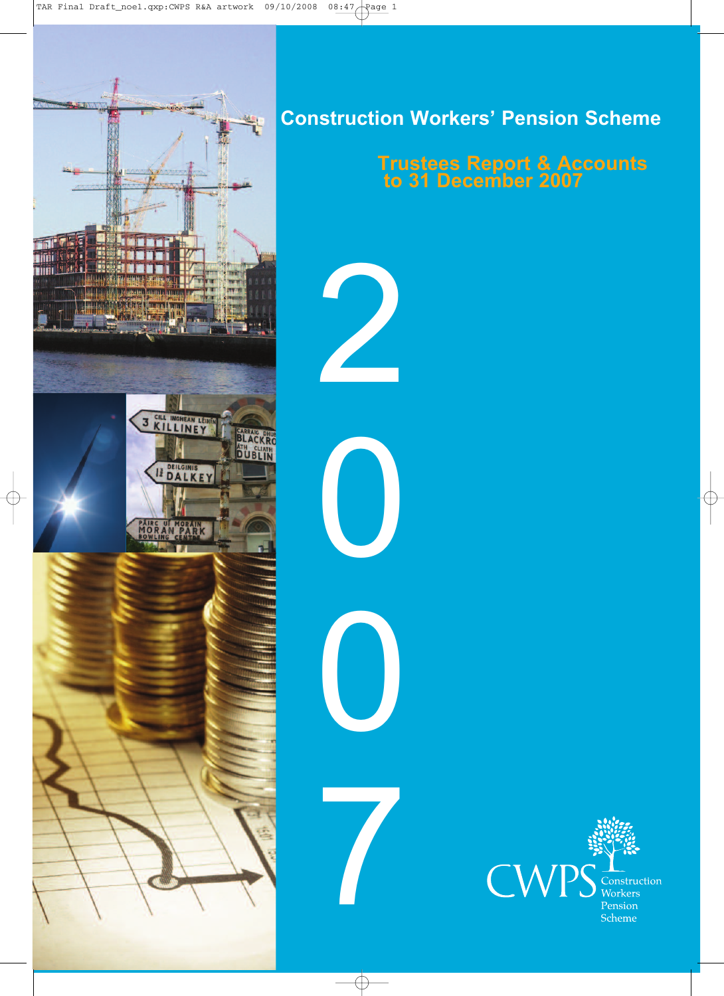

## **Construction Workers' Pension Scheme**

2

0

0

7

## **Trustees Report & Accounts to 31 December 2007**

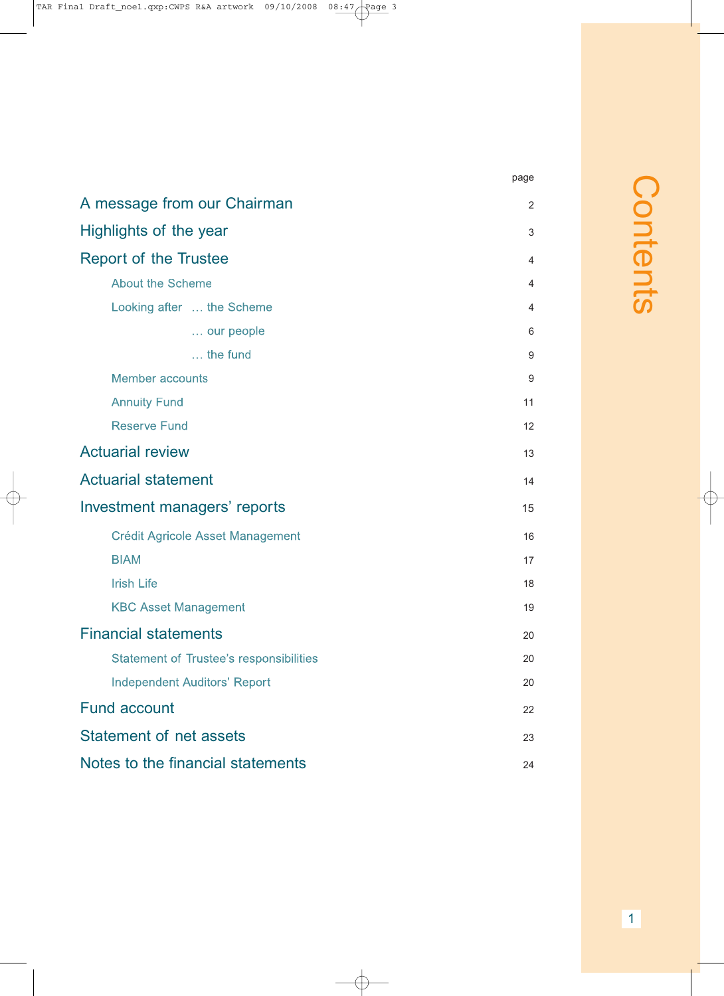|                                                | page |
|------------------------------------------------|------|
| A message from our Chairman                    | 2    |
| Highlights of the year                         | 3    |
| <b>Report of the Trustee</b>                   | 4    |
| <b>About the Scheme</b>                        | 4    |
| Looking after  the Scheme                      | 4    |
| our people                                     | 6    |
| $\ldots$ the fund                              | 9    |
| <b>Member accounts</b>                         | 9    |
| <b>Annuity Fund</b>                            | 11   |
| <b>Reserve Fund</b>                            | 12   |
| <b>Actuarial review</b>                        | 13   |
| <b>Actuarial statement</b>                     | 14   |
| Investment managers' reports                   | 15   |
| <b>Crédit Agricole Asset Management</b>        | 16   |
| <b>BIAM</b>                                    | 17   |
| <b>Irish Life</b>                              | 18   |
| <b>KBC Asset Management</b>                    | 19   |
| <b>Financial statements</b>                    | 20   |
| <b>Statement of Trustee's responsibilities</b> | 20   |
| <b>Independent Auditors' Report</b>            | 20   |
| <b>Fund account</b>                            | 22   |
| <b>Statement of net assets</b>                 | 23   |

Notes to the financial statements 24

## $\bigcap$ o  $\Box$  $\overline{\phantom{a}}$  $\overline{\mathbf{C}}$  $\Box$  $\overline{\phantom{0}}$  $\boldsymbol{\omega}$

1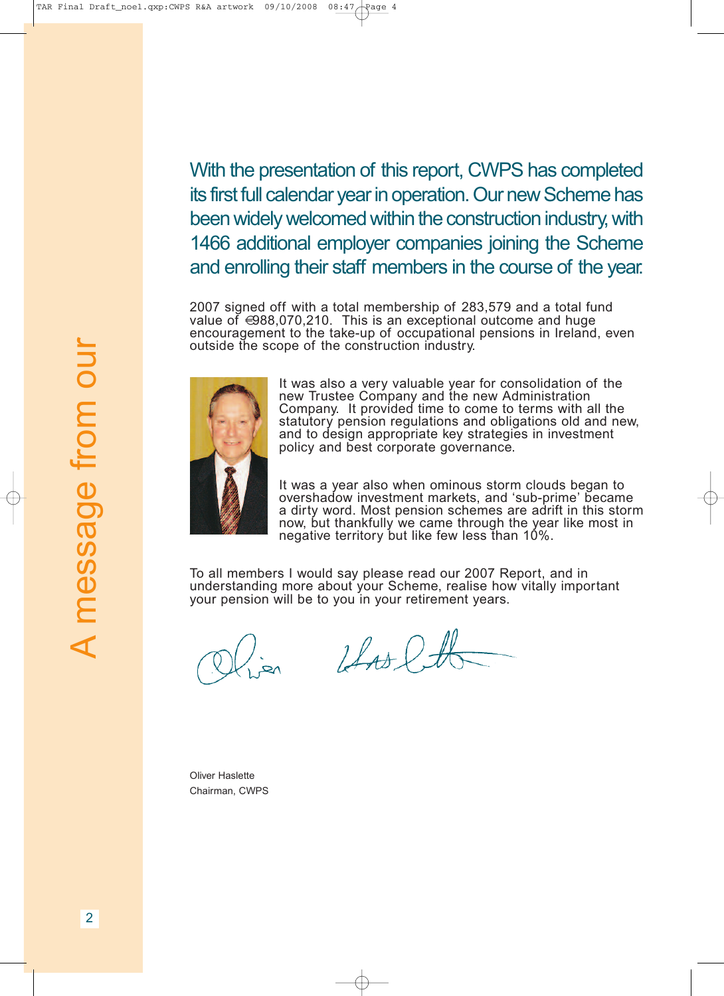With the presentation of this report, CWPS has completed its first full calendar year in operation. Our new Scheme has been widely welcomed within the construction industry, with 1466 additional employer companies joining the Scheme and enrolling their staff members in the course of the year.

2007 signed off with a total membership of 283,579 and a total fund value of €988,070,210. This is an exceptional outcome and huge encouragement to the take-up of occupational pensions in Ireland, even outside the scope of the construction industry.



It was also a very valuable year for consolidation of the new Trustee Company and the new Administration Company. It provided time to come to terms with all the statutory pension regulations and obligations old and new,<br>and to design appropriate key strategies in investment policy and best corporate governance.

It was a year also when ominous storm clouds began to overshadow investment markets, and 'sub-prime' became a dirty word. Most pension schemes are adrift in this storm now, but thankfully we came through the year like most in negative territory but like few less than 10%.

To all members I would say please read our 2007 Report, and in understanding more about your Scheme, realise how vitally important your pension will be to you in your retirement years.

Las lt

Oliver Haslette Chairman, CWPS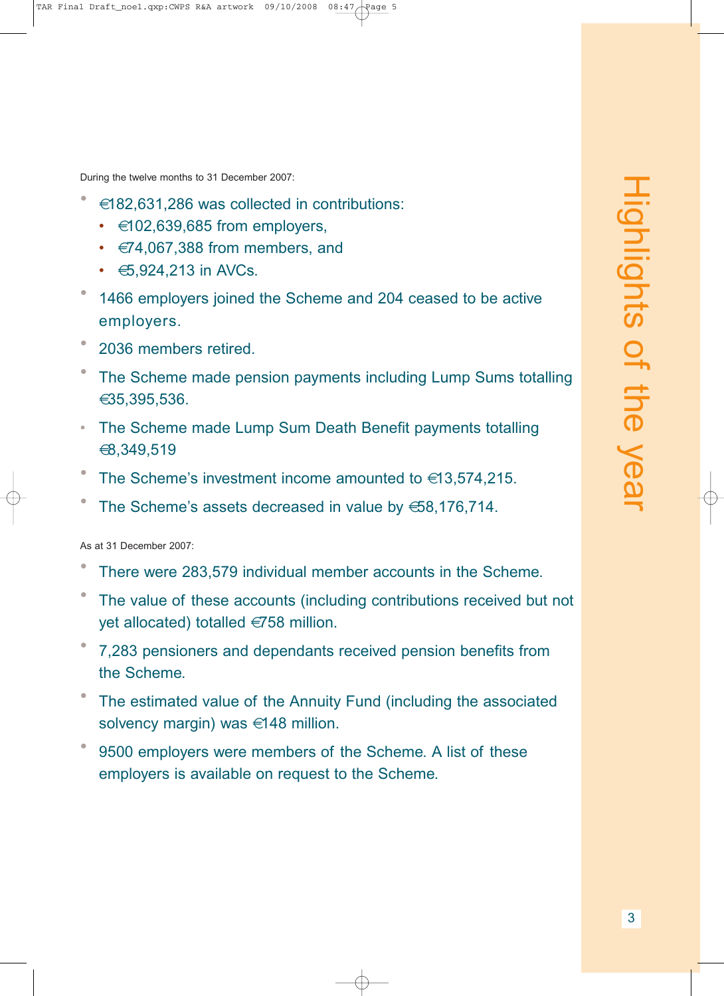During the twelve months to 31 December 2007:

- €182,631,286 was collected in contributions:
	- $\cdot$   $\in$  102,639,685 from employers,
	- $\cdot \in 74,067,388$  from members, and
	- $\cdot$   $\bigoplus$ , 924, 213 in AVCs.
- 1466 employers joined the Scheme and 204 ceased to be active employers.
- <sup>2036</sup> members retired.
- The Scheme made pension payments including Lump Sums totalling €35,395,536.
- The Scheme made Lump Sum Death Benefit payments totalling €8,349,519
- The Scheme's investment income amounted to  $\in$ 13,574,215.
- The Scheme's assets decreased in value by  $658,176,714$ .

As at 31 December 2007:

- There were 283,579 individual member accounts in the Scheme.
- The value of these accounts (including contributions received but not yet allocated) totalled €758 million.
- 7,283 pensioners and dependants received pension benefits from the Scheme.
- The estimated value of the Annuity Fund (including the associated solvency margin) was €148 million.
- 9500 employers were members of the Scheme. A list of these employers is available on request to the Scheme.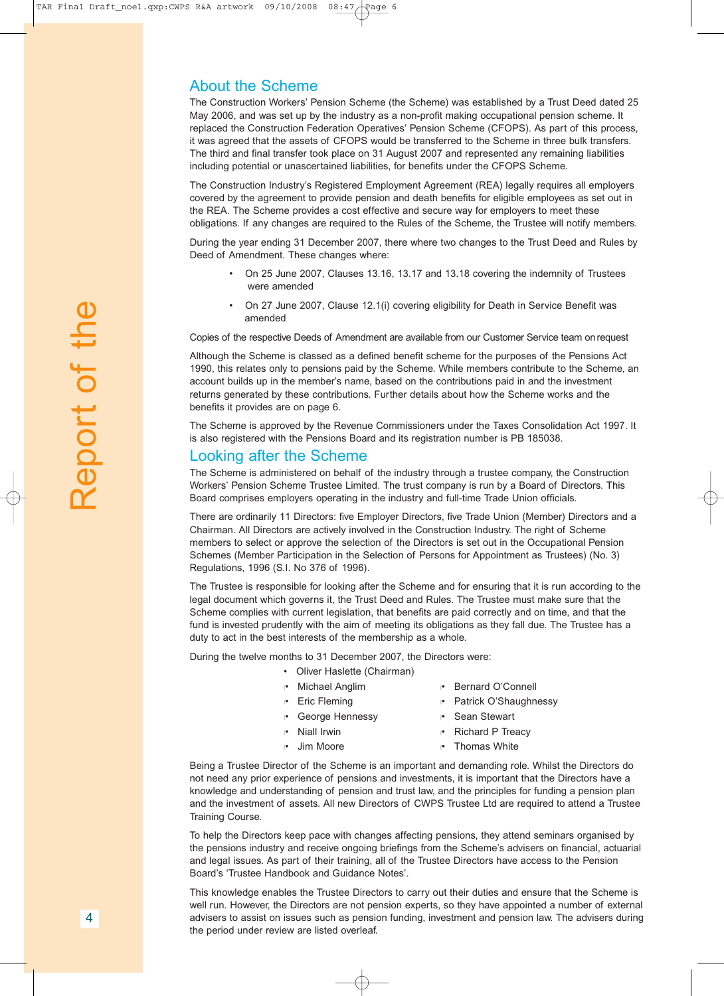#### About the Scheme

The Construction Workers' Pension Scheme (the Scheme) was established by a Trust Deed dated 25 May 2006, and was set up by the industry as a non-profit making occupational pension scheme. It replaced the Construction Federation Operatives' Pension Scheme (CFOPS). As part of this process, it was agreed that the assets of CFOPS would be transferred to the Scheme in three bulk transfers. The third and final transfer took place on 31 August 2007 and represented any remaining liabilities including potential or unascertained liabilities, for benefits under the CFOPS Scheme.

The Construction Industry's Registered Employment Agreement (REA) legally requires all employers covered by the agreement to provide pension and death benefits for eligible employees as set out in the REA. The Scheme provides a cost effective and secure way for employers to meet these obligations. If any changes are required to the Rules of the Scheme, the Trustee will notify members.

During the year ending 31 December 2007, there where two changes to the Trust Deed and Rules by Deed of Amendment. These changes where:

- On 25 June 2007, Clauses 13.16, 13.17 and 13.18 covering the indemnity of Trustees were amended
- On 27 June 2007, Clause 12.1(i) covering eligibility for Death in Service Benefit was amended

Copies of the respective Deeds of Amendment are available from our Customer Service team on request

Although the Scheme is classed as a defined benefit scheme for the purposes of the Pensions Act 1990, this relates only to pensions paid by the Scheme. While members contribute to the Scheme, an account builds up in the member's name, based on the contributions paid in and the investment returns generated by these contributions. Further details about how the Scheme works and the benefits it provides are on page 6.

The Scheme is approved by the Revenue Commissioners under the Taxes Consolidation Act 1997. It is also registered with the Pensions Board and its registration number is PB 185038.

#### Looking after the Scheme

The Scheme is administered on behalf of the industry through a trustee company, the Construction Workers' Pension Scheme Trustee Limited. The trust company is run by a Board of Directors. This Board comprises employers operating in the industry and full-time Trade Union officials.

There are ordinarily 11 Directors: five Employer Directors, five Trade Union (Member) Directors and a Chairman. All Directors are actively involved in the Construction Industry. The right of Scheme members to select or approve the selection of the Directors is set out in the Occupational Pension Schemes (Member Participation in the Selection of Persons for Appointment as Trustees) (No. 3) Regulations, 1996 (S.I. No 376 of 1996).

The Trustee is responsible for looking after the Scheme and for ensuring that it is run according to the legal document which governs it, the Trust Deed and Rules. The Trustee must make sure that the Scheme complies with current legislation, that benefits are paid correctly and on time, and that the fund is invested prudently with the aim of meeting its obligations as they fall due. The Trustee has a duty to act in the best interests of the membership as a whole.

During the twelve months to 31 December 2007, the Directors were:

- Oliver Haslette (Chairman)
- l• Michael Anglim l• Bernard O'Connell
- l• Eric Fleming l• Patrick O'Shaughnessy
- **•** George Hennessy **and Prince Sean Stewart**
- 
- 
- 
- 
- l• Niall Irwin l• Richard P Treacy
- l• Jim Moore l• Thomas White

Being a Trustee Director of the Scheme is an important and demanding role. Whilst the Directors do not need any prior experience of pensions and investments, it is important that the Directors have a knowledge and understanding of pension and trust law, and the principles for funding a pension plan and the investment of assets. All new Directors of CWPS Trustee Ltd are required to attend a Trustee Training Course.

To help the Directors keep pace with changes affecting pensions, they attend seminars organised by the pensions industry and receive ongoing briefings from the Scheme's advisers on financial, actuarial and legal issues. As part of their training, all of the Trustee Directors have access to the Pension Board's 'Trustee Handbook and Guidance Notes'.

This knowledge enables the Trustee Directors to carry out their duties and ensure that the Scheme is well run. However, the Directors are not pension experts, so they have appointed a number of external advisers to assist on issues such as pension funding, investment and pension law. The advisers during the period under review are listed overleaf.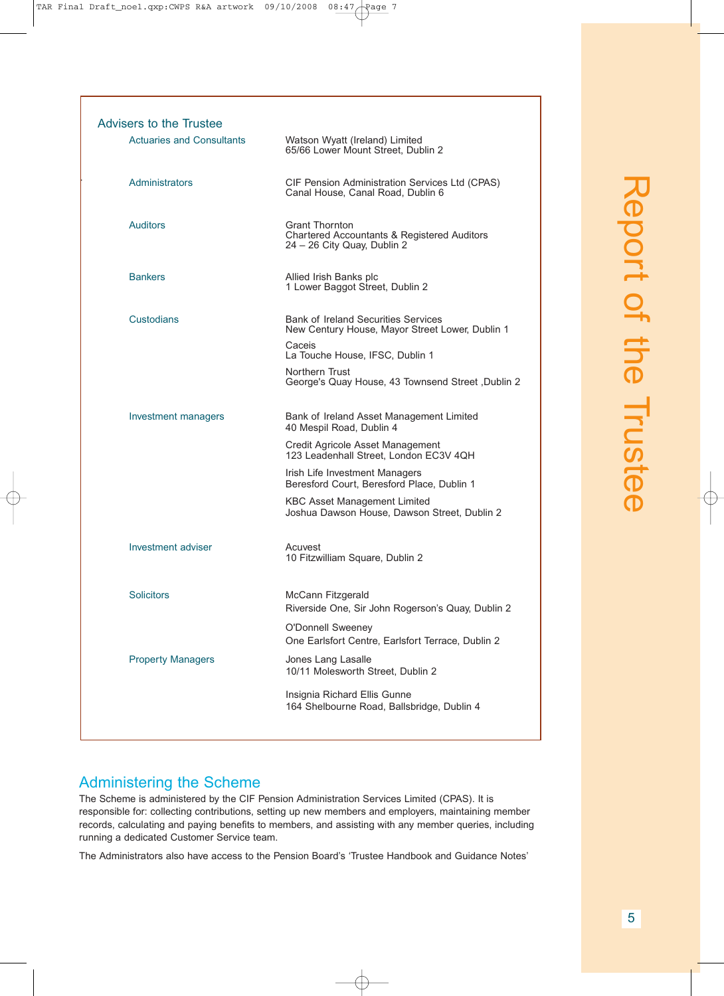.

| Advisers to the Trustee          |                                                                                                     |
|----------------------------------|-----------------------------------------------------------------------------------------------------|
| <b>Actuaries and Consultants</b> | Watson Wyatt (Ireland) Limited<br>65/66 Lower Mount Street, Dublin 2                                |
| Administrators                   | CIF Pension Administration Services Ltd (CPAS)<br>Canal House, Canal Road, Dublin 6                 |
| <b>Auditors</b>                  | <b>Grant Thornton</b><br>Chartered Accountants & Registered Auditors<br>24 - 26 City Quay, Dublin 2 |
| <b>Bankers</b>                   | Allied Irish Banks plc<br>1 Lower Baggot Street, Dublin 2                                           |
| Custodians                       | <b>Bank of Ireland Securities Services</b><br>New Century House, Mayor Street Lower, Dublin 1       |
|                                  | Caceis<br>La Touche House, IFSC, Dublin 1                                                           |
|                                  | Northern Trust<br>George's Quay House, 43 Townsend Street, Dublin 2                                 |
| Investment managers              | Bank of Ireland Asset Management Limited<br>40 Mespil Road, Dublin 4                                |
|                                  | Credit Agricole Asset Management<br>123 Leadenhall Street, London EC3V 4QH                          |
|                                  | Irish Life Investment Managers<br>Beresford Court, Beresford Place, Dublin 1                        |
|                                  | <b>KBC Asset Management Limited</b><br>Joshua Dawson House, Dawson Street, Dublin 2                 |
| Investment adviser               | Acuvest<br>10 Fitzwilliam Square, Dublin 2                                                          |
| <b>Solicitors</b>                | McCann Fitzgerald<br>Riverside One, Sir John Rogerson's Quay, Dublin 2                              |
|                                  | O'Donnell Sweeney<br>One Earlsfort Centre, Earlsfort Terrace, Dublin 2                              |
| <b>Property Managers</b>         | Jones Lang Lasalle<br>10/11 Molesworth Street, Dublin 2                                             |
|                                  | Insignia Richard Ellis Gunne<br>164 Shelbourne Road, Ballsbridge, Dublin 4                          |
|                                  |                                                                                                     |

### Administering the Scheme

The Scheme is administered by the CIF Pension Administration Services Limited (CPAS). It is responsible for: collecting contributions, setting up new members and employers, maintaining member records, calculating and paying benefits to members, and assisting with any member queries, including running a dedicated Customer Service team.

The Administrators also have access to the Pension Board's 'Trustee Handbook and Guidance Notes'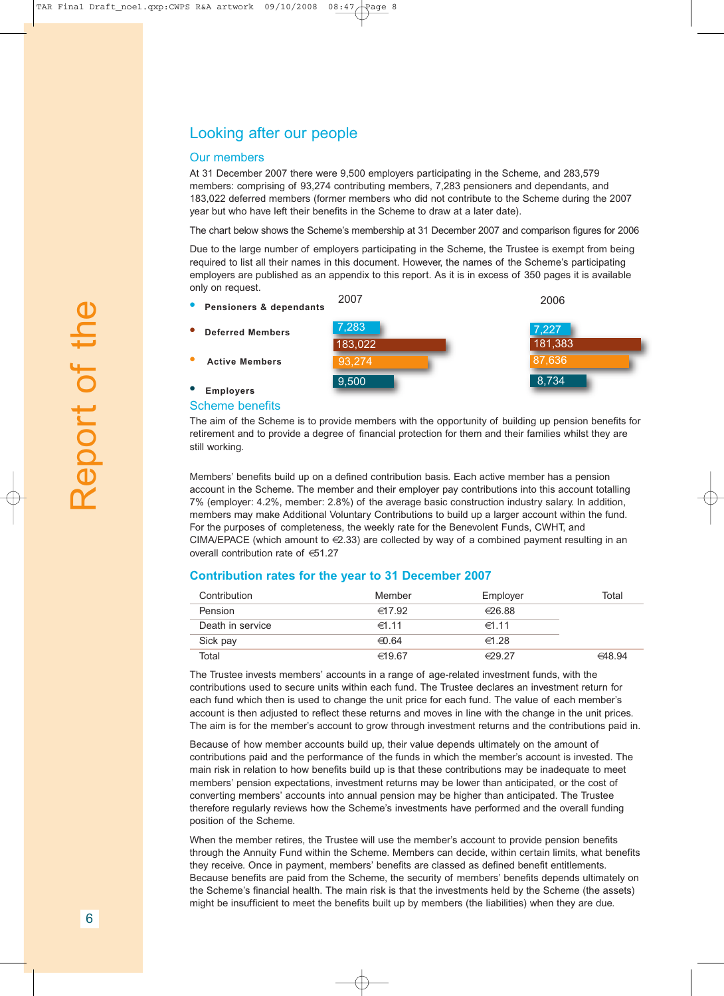#### Looking after our people

#### Our members

At 31 December 2007 there were 9,500 employers participating in the Scheme, and 283,579 members: comprising of 93,274 contributing members, 7,283 pensioners and dependants, and 183,022 deferred members (former members who did not contribute to the Scheme during the 2007 year but who have left their benefits in the Scheme to draw at a later date).

The chart below shows the Scheme's membership at 31 December 2007 and comparison figures for 2006

Due to the large number of employers participating in the Scheme, the Trustee is exempt from being required to list all their names in this document. However, the names of the Scheme's participating employers are published as an appendix to this report. As it is in excess of 350 pages it is available only on request.



Scheme benefits **• Employers**

The aim of the Scheme is to provide members with the opportunity of building up pension benefits for retirement and to provide a degree of financial protection for them and their families whilst they are still working.

Members' benefits build up on a defined contribution basis. Each active member has a pension account in the Scheme. The member and their employer pay contributions into this account totalling 7% (employer: 4.2%, member: 2.8%) of the average basic construction industry salary. In addition, members may make Additional Voluntary Contributions to build up a larger account within the fund. For the purposes of completeness, the weekly rate for the Benevolent Funds, CWHT, and CIMA/EPACE (which amount to  $\in \{2.33\}$  are collected by way of a combined payment resulting in an overall contribution rate of €51.27

#### **Contribution rates for the year to 31 December 2007**

| Contribution     | Member          | Employer         | Total  |
|------------------|-----------------|------------------|--------|
| Pension          | $\in 17.92$     | €26.88           |        |
| Death in service | $\in$ 1.11      | $\in$ 1.11       |        |
| Sick pay         | $\epsilon$ 0.64 | $\in$ 1.28       |        |
| Total            | $\in$ 19.67     | $\epsilon$ 29.27 | 648.94 |

The Trustee invests members' accounts in a range of age-related investment funds, with the contributions used to secure units within each fund. The Trustee declares an investment return for each fund which then is used to change the unit price for each fund. The value of each member's account is then adjusted to reflect these returns and moves in line with the change in the unit prices. The aim is for the member's account to grow through investment returns and the contributions paid in.

Because of how member accounts build up, their value depends ultimately on the amount of contributions paid and the performance of the funds in which the member's account is invested. The main risk in relation to how benefits build up is that these contributions may be inadequate to meet members' pension expectations, investment returns may be lower than anticipated, or the cost of converting members' accounts into annual pension may be higher than anticipated. The Trustee therefore regularly reviews how the Scheme's investments have performed and the overall funding position of the Scheme.

When the member retires, the Trustee will use the member's account to provide pension benefits through the Annuity Fund within the Scheme. Members can decide, within certain limits, what benefits they receive. Once in payment, members' benefits are classed as defined benefit entitlements. Because benefits are paid from the Scheme, the security of members' benefits depends ultimately on the Scheme's financial health. The main risk is that the investments held by the Scheme (the assets) might be insufficient to meet the benefits built up by members (the liabilities) when they are due.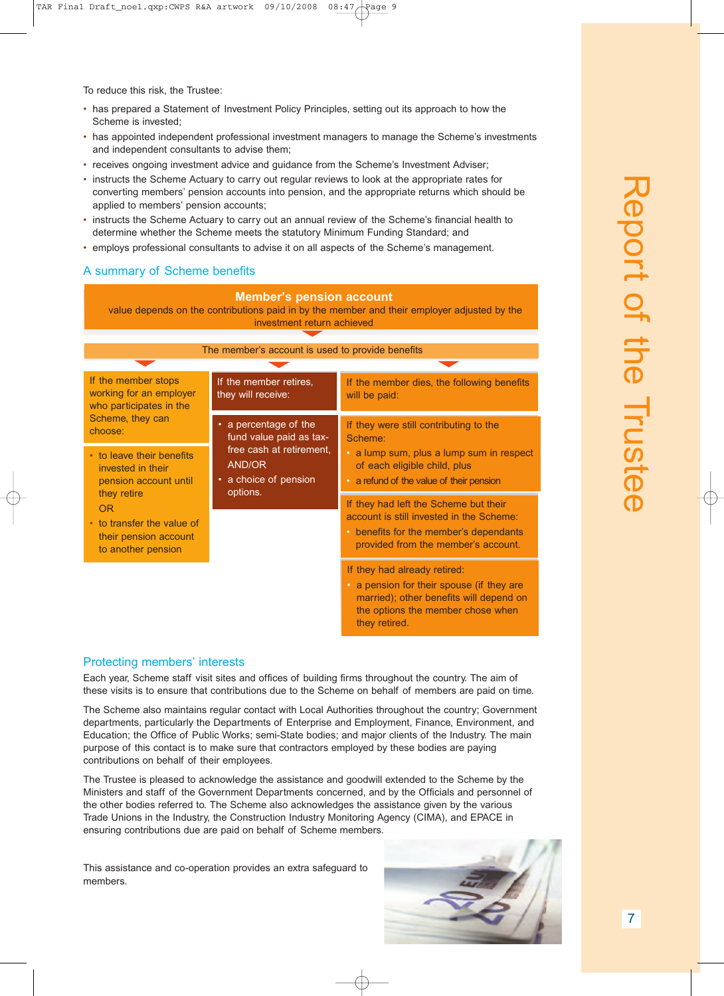To reduce this risk, the Trustee:

- has prepared a Statement of Investment Policy Principles, setting out its approach to how the Scheme is invested;
- has appointed independent professional investment managers to manage the Scheme's investments and independent consultants to advise them;
- receives ongoing investment advice and guidance from the Scheme's Investment Adviser;
- instructs the Scheme Actuary to carry out regular reviews to look at the appropriate rates for converting members' pension accounts into pension, and the appropriate returns which should be applied to members' pension accounts;
- instructs the Scheme Actuary to carry out an annual review of the Scheme's financial health to determine whether the Scheme meets the statutory Minimum Funding Standard; and
- employs professional consultants to advise it on all aspects of the Scheme's management.

#### A summary of Scheme benefits

#### **Member's pension account**

value depends on the contributions paid in by the member and their employer adjusted by the investment return achieved

| The member's account is used to provide benefits                                                                                       |                                                                                                                                 |                                                                                                                                                                            |
|----------------------------------------------------------------------------------------------------------------------------------------|---------------------------------------------------------------------------------------------------------------------------------|----------------------------------------------------------------------------------------------------------------------------------------------------------------------------|
|                                                                                                                                        |                                                                                                                                 |                                                                                                                                                                            |
| If the member stops<br>working for an employer<br>they will receive:<br>who participates in the                                        | If the member retires,                                                                                                          | If the member dies, the following benefits<br>will be paid:                                                                                                                |
| Scheme, they can<br>choose:                                                                                                            | a percentage of the<br>٠<br>fund value paid as tax-                                                                             | If they were still contributing to the<br>Scheme:                                                                                                                          |
| free cash at retirement.<br>• to leave their benefits<br>AND/OR<br>invested in their<br>• a choice of pension<br>pension account until | a lump sum, plus a lump sum in respect<br>$\bullet$<br>of each eligible child, plus<br>• a refund of the value of their pension |                                                                                                                                                                            |
| they retire<br><b>OR</b>                                                                                                               | options.                                                                                                                        | If they had left the Scheme but their                                                                                                                                      |
| • to transfer the value of<br>their pension account<br>to another pension                                                              |                                                                                                                                 | account is still invested in the Scheme:<br>• benefits for the member's dependants<br>provided from the member's account.                                                  |
|                                                                                                                                        |                                                                                                                                 | If they had already retired:<br>• a pension for their spouse (if they are<br>married); other benefits will depend on<br>the options the member chose when<br>they retired. |

#### Protecting members' interests

Each year, Scheme staff visit sites and offices of building firms throughout the country. The aim of these visits is to ensure that contributions due to the Scheme on behalf of members are paid on time.

The Scheme also maintains regular contact with Local Authorities throughout the country; Government departments, particularly the Departments of Enterprise and Employment, Finance, Environment, and Education; the Office of Public Works; semi-State bodies; and major clients of the Industry. The main purpose of this contact is to make sure that contractors employed by these bodies are paying contributions on behalf of their employees.

The Trustee is pleased to acknowledge the assistance and goodwill extended to the Scheme by the Ministers and staff of the Government Departments concerned, and by the Officials and personnel of the other bodies referred to. The Scheme also acknowledges the assistance given by the various Trade Unions in the Industry, the Construction Industry Monitoring Agency (CIMA), and EPACE in ensuring contributions due are paid on behalf of Scheme members.

This assistance and co-operation provides an extra safeguard to members.

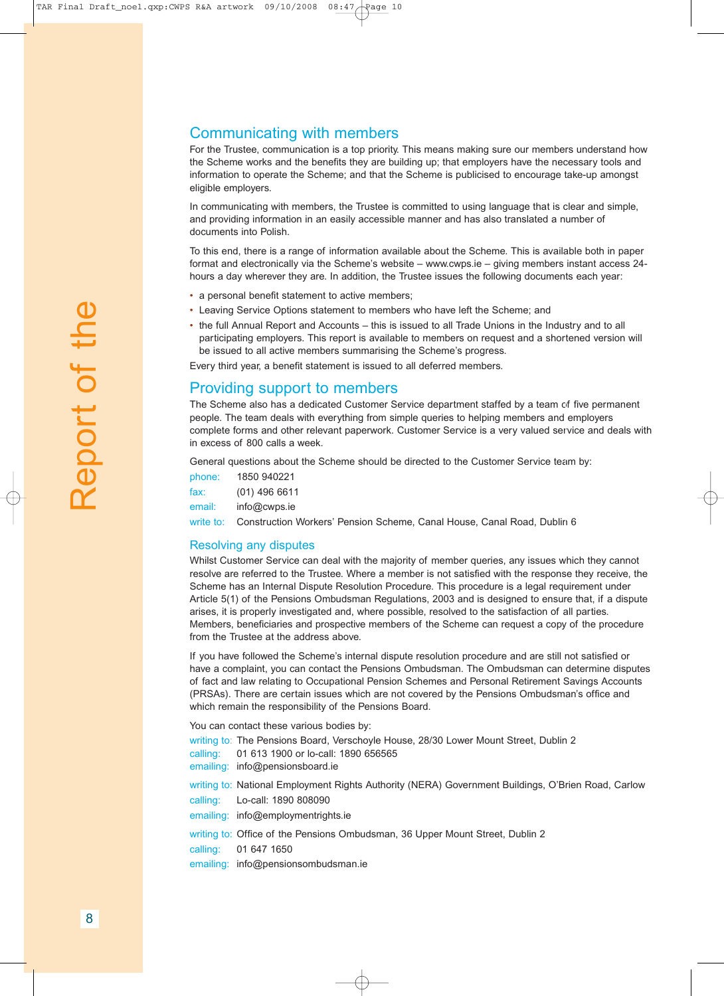## Communicating with members

For the Trustee, communication is a top priority. This means making sure our members understand how the Scheme works and the benefits they are building up; that employers have the necessary tools and information to operate the Scheme; and that the Scheme is publicised to encourage take-up amongst eligible employers.

In communicating with members, the Trustee is committed to using language that is clear and simple, and providing information in an easily accessible manner and has also translated a number of documents into Polish.

To this end, there is a range of information available about the Scheme. This is available both in paper format and electronically via the Scheme's website – www.cwps.ie – giving members instant access 24 hours a day wherever they are. In addition, the Trustee issues the following documents each year:

- a personal benefit statement to active members;
- Leaving Service Options statement to members who have left the Scheme; and
- the full Annual Report and Accounts this is issued to all Trade Unions in the Industry and to all participating employers. This report is available to members on request and a shortened version will be issued to all active members summarising the Scheme's progress.

Every third year, a benefit statement is issued to all deferred members.

#### Providing support to members

The Scheme also has a dedicated Customer Service department staffed by a team of five permanent people. The team deals with everything from simple queries to helping members and employers complete forms and other relevant paperwork. Customer Service is a very valued service and deals with in excess of 800 calls a week.

General questions about the Scheme should be directed to the Customer Service team by:

| phone:    | 1850 940221     |
|-----------|-----------------|
| fax:      | $(01)$ 496 6611 |
| email:    | info@cwps.ie    |
| write to: | Construction W  |

Construction Workers' Pension Scheme, Canal House, Canal Road, Dublin 6

#### Resolving any disputes

Whilst Customer Service can deal with the majority of member queries, any issues which they cannot resolve are referred to the Trustee. Where a member is not satisfied with the response they receive, the Scheme has an Internal Dispute Resolution Procedure. This procedure is a legal requirement under Article 5(1) of the Pensions Ombudsman Regulations, 2003 and is designed to ensure that, if a dispute arises, it is properly investigated and, where possible, resolved to the satisfaction of all parties. Members, beneficiaries and prospective members of the Scheme can request a copy of the procedure from the Trustee at the address above.

If you have followed the Scheme's internal dispute resolution procedure and are still not satisfied or have a complaint, you can contact the Pensions Ombudsman. The Ombudsman can determine disputes of fact and law relating to Occupational Pension Schemes and Personal Retirement Savings Accounts (PRSAs). There are certain issues which are not covered by the Pensions Ombudsman's office and which remain the responsibility of the Pensions Board.

You can contact these various bodies by:

writing to: The Pensions Board, Verschoyle House, 28/30 Lower Mount Street, Dublin 2

- calling: 01 613 1900 or lo-call: 1890 656565
- emailing: info@pensionsboard.ie

writing to: National Employment Rights Authority (NERA) Government Buildings, O'Brien Road, Carlow calling: Lo-call: 1890 808090

emailing: info@employmentrights.ie

writing to: Office of the Pensions Ombudsman, 36 Upper Mount Street, Dublin 2

calling: 01 647 1650

emailing: info@pensionsombudsman.ie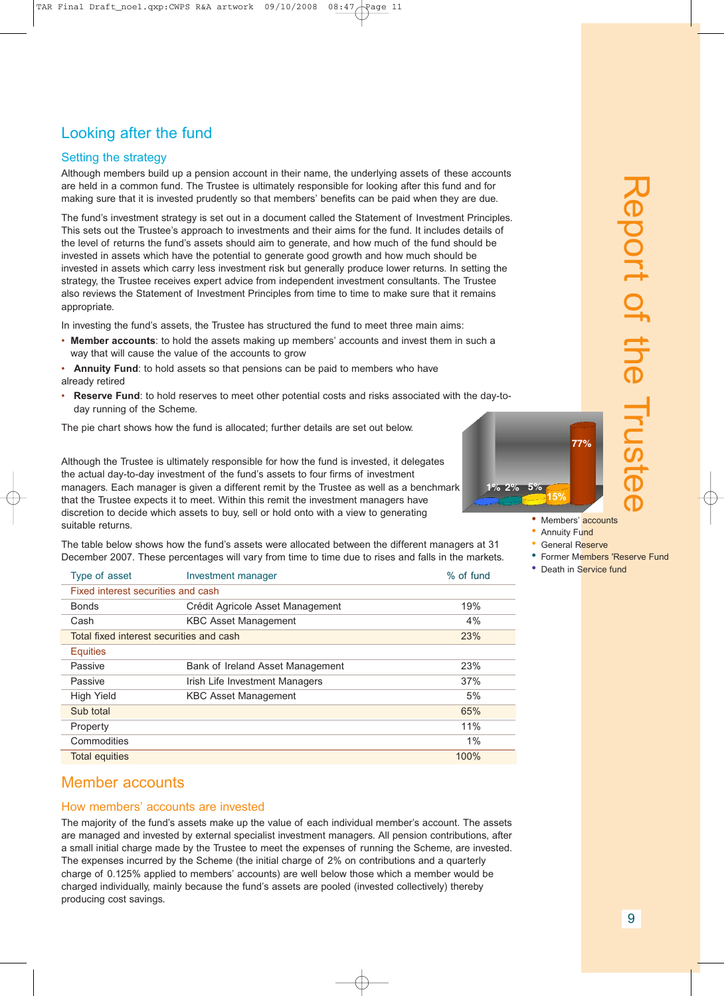## Looking after the fund

#### Setting the strategy

Although members build up a pension account in their name, the underlying assets of these accounts are held in a common fund. The Trustee is ultimately responsible for looking after this fund and for making sure that it is invested prudently so that members' benefits can be paid when they are due.

The fund's investment strategy is set out in a document called the Statement of Investment Principles. This sets out the Trustee's approach to investments and their aims for the fund. It includes details of the level of returns the fund's assets should aim to generate, and how much of the fund should be invested in assets which have the potential to generate good growth and how much should be invested in assets which carry less investment risk but generally produce lower returns. In setting the strategy, the Trustee receives expert advice from independent investment consultants. The Trustee also reviews the Statement of Investment Principles from time to time to make sure that it remains appropriate.

In investing the fund's assets, the Trustee has structured the fund to meet three main aims:

• **Member accounts**: to hold the assets making up members' accounts and invest them in such a way that will cause the value of the accounts to grow

• **Annuity Fund**: to hold assets so that pensions can be paid to members who have already retired

• **Reserve Fund**: to hold reserves to meet other potential costs and risks associated with the day-today running of the Scheme.

The pie chart shows how the fund is allocated; further details are set out below.

Although the Trustee is ultimately responsible for how the fund is invested, it delegates the actual day-to-day investment of the fund's assets to four firms of investment managers. Each manager is given a different remit by the Trustee as well as a benchmark that the Trustee expects it to meet. Within this remit the investment managers have discretion to decide which assets to buy, sell or hold onto with a view to generating suitable returns.

The table below shows how the fund's assets were allocated between the different managers at 31 December 2007. These percentages will vary from time to time due to rises and falls in the markets.

| Type of asset                            | Investment manager               | % of fund |
|------------------------------------------|----------------------------------|-----------|
| Fixed interest securities and cash       |                                  |           |
| <b>Bonds</b>                             | Crédit Agricole Asset Management | 19%       |
| Cash                                     | <b>KBC Asset Management</b>      | 4%        |
| Total fixed interest securities and cash |                                  | 23%       |
| <b>Equities</b>                          |                                  |           |
| Passive                                  | Bank of Ireland Asset Management | 23%       |
| Passive                                  | Irish Life Investment Managers   | 37%       |
| <b>High Yield</b>                        | <b>KBC Asset Management</b>      | 5%        |
| Sub total                                |                                  | 65%       |
| Property                                 |                                  | 11%       |
| Commodities                              |                                  | 1%        |
| <b>Total equities</b>                    |                                  | 100%      |

#### Member accounts

#### How members' accounts are invested

The majority of the fund's assets make up the value of each individual member's account. The assets are managed and invested by external specialist investment managers. All pension contributions, after a small initial charge made by the Trustee to meet the expenses of running the Scheme, are invested. The expenses incurred by the Scheme (the initial charge of 2% on contributions and a quarterly charge of 0.125% applied to members' accounts) are well below those which a member would be charged individually, mainly because the fund's assets are pooled (invested collectively) thereby producing cost savings.



- Members' accounts
- Annuity Fund
- General Reserve
- Former Members 'Reserve Fund

刀  $\overline{\mathbf{C}}$  $\overline{\mathbf{C}}$ o  $\overline{\phantom{0}}$  $\overline{\phantom{a}}$ 

> o  $\overline{\phantom{a}}$

 $\overline{\phantom{a}}$  $\overline{\phantom{0}}$  $\overline{\mathbf{C}}$ 

 $\exists$ 

 $\overline{\phantom{0}}$  $\boldsymbol{\omega}$  $\overline{\phantom{0}}$  $\mathbf \Phi$  $\overline{\mathbf{C}}$ 

• Death in Service fund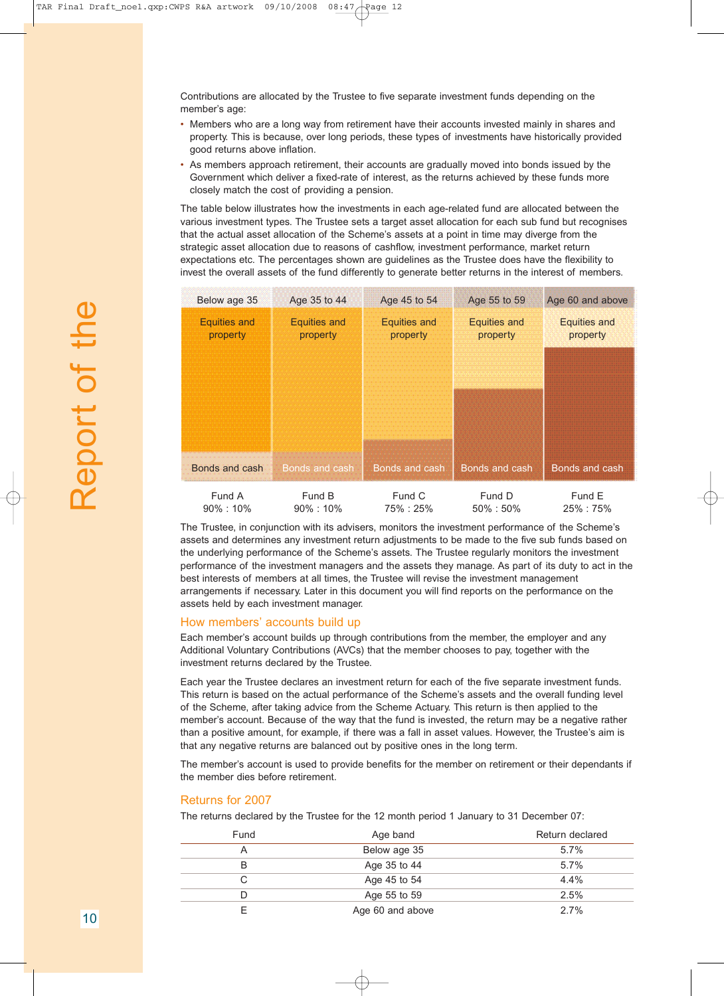Contributions are allocated by the Trustee to five separate investment funds depending on the member's age:

- Members who are a long way from retirement have their accounts invested mainly in shares and property. This is because, over long periods, these types of investments have historically provided good returns above inflation.
- As members approach retirement, their accounts are gradually moved into bonds issued by the Government which deliver a fixed-rate of interest, as the returns achieved by these funds more closely match the cost of providing a pension.

The table below illustrates how the investments in each age-related fund are allocated between the various investment types. The Trustee sets a target asset allocation for each sub fund but recognises that the actual asset allocation of the Scheme's assets at a point in time may diverge from the strategic asset allocation due to reasons of cashflow, investment performance, market return expectations etc. The percentages shown are guidelines as the Trustee does have the flexibility to invest the overall assets of the fund differently to generate better returns in the interest of members.

| Below age 35                    | Age 35 to 44                    | Age 45 to 54                    | Age 55 to 59                    | Age 60 and above                |
|---------------------------------|---------------------------------|---------------------------------|---------------------------------|---------------------------------|
| <b>Equities and</b><br>property | <b>Equities and</b><br>property | <b>Equities and</b><br>property | <b>Equities and</b><br>property | <b>Equities and</b><br>property |
|                                 |                                 |                                 |                                 |                                 |
|                                 |                                 |                                 |                                 |                                 |
|                                 |                                 |                                 |                                 |                                 |
| Bonds and cash                  | Bonds and cash                  | Bonds and cash                  | Bonds and cash                  | Bonds and cash                  |
| Fund A<br>90%: 10%              | Fund B<br>$90\% : 10\%$         | Fund C<br>75% : 25%             | Fund D<br>$50\% : 50\%$         | Fund E<br>25% : 75%             |

The Trustee, in conjunction with its advisers, monitors the investment performance of the Scheme's assets and determines any investment return adjustments to be made to the five sub funds based on the underlying performance of the Scheme's assets. The Trustee regularly monitors the investment performance of the investment managers and the assets they manage. As part of its duty to act in the best interests of members at all times, the Trustee will revise the investment management arrangements if necessary. Later in this document you will find reports on the performance on the assets held by each investment manager.

#### How members' accounts build up

Each member's account builds up through contributions from the member, the employer and any Additional Voluntary Contributions (AVCs) that the member chooses to pay, together with the investment returns declared by the Trustee.

Each year the Trustee declares an investment return for each of the five separate investment funds. This return is based on the actual performance of the Scheme's assets and the overall funding level of the Scheme, after taking advice from the Scheme Actuary. This return is then applied to the member's account. Because of the way that the fund is invested, the return may be a negative rather than a positive amount, for example, if there was a fall in asset values. However, the Trustee's aim is that any negative returns are balanced out by positive ones in the long term.

The member's account is used to provide benefits for the member on retirement or their dependants if the member dies before retirement.

#### Returns for 2007

The returns declared by the Trustee for the 12 month period 1 January to 31 December 07:

| Fund | Age band         | Return declared |
|------|------------------|-----------------|
| Α    | Below age 35     | 5.7%            |
| B    | Age 35 to 44     | 5.7%            |
| С    | Age 45 to 54     | 4.4%            |
| D    | Age 55 to 59     | 2.5%            |
|      | Age 60 and above | 2.7%            |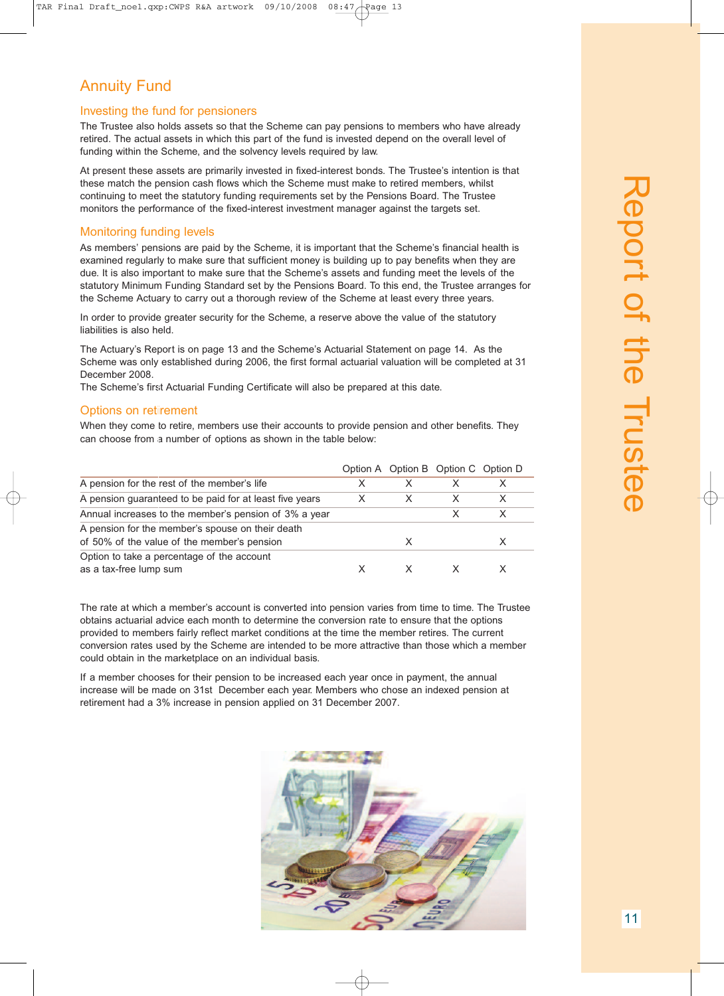## Annuity Fund

#### Investing the fund for pensioners

The Trustee also holds assets so that the Scheme can pay pensions to members who have already retired. The actual assets in which this part of the fund is invested depend on the overall level of funding within the Scheme, and the solvency levels required by law.

At present these assets are primarily invested in fixed-interest bonds. The Trustee's intention is that these match the pension cash flows which the Scheme must make to retired members, whilst continuing to meet the statutory funding requirements set by the Pensions Board. The Trustee monitors the performance of the fixed-interest investment manager against the targets set.

#### Monitoring funding levels

As members' pensions are paid by the Scheme, it is important that the Scheme's financial health is examined regularly to make sure that sufficient money is building up to pay benefits when they are due. It is also important to make sure that the Scheme's assets and funding meet the levels of the statutory Minimum Funding Standard set by the Pensions Board. To this end, the Trustee arranges for the Scheme Actuary to carry out a thorough review of the Scheme at least every three years.

In order to provide greater security for the Scheme, a reserve above the value of the statutory liabilities is also held.

The Actuary's Report is on page 13 and the Scheme's Actuarial Statement on page 14. As the Scheme was only established during 2006, the first formal actuarial valuation will be completed at 31 December 2008.

The Scheme's first Actuarial Funding Certificate will also be prepared at this date.

#### Options on retirement

When they come to retire, members use their accounts to provide pension and other benefits. They can choose from a number of options as shown in the table below:

|                                                                                                 |   |   | Option A Option B Option C Option D |   |
|-------------------------------------------------------------------------------------------------|---|---|-------------------------------------|---|
| A pension for the rest of the member's life                                                     |   |   |                                     |   |
| A pension guaranteed to be paid for at least five years                                         | X |   | х                                   | X |
| Annual increases to the member's pension of 3% a year                                           |   |   | х                                   |   |
| A pension for the member's spouse on their death<br>of 50% of the value of the member's pension |   | X |                                     |   |
| Option to take a percentage of the account<br>as a tax-free lump sum                            |   |   |                                     |   |

The rate at which a member's account is converted into pension varies from time to time. The Trustee obtains actuarial advice each month to determine the conversion rate to ensure that the options provided to members fairly reflect market conditions at the time the member retires. The current conversion rates used by the Scheme are intended to be more attractive than those which a member could obtain in the marketplace on an individual basis.

If a member chooses for their pension to be increased each year once in payment, the annual increase will be made on 31st December each year. Members who chose an indexed pension at retirement had a 3% increase in pension applied on 31 December 2007.

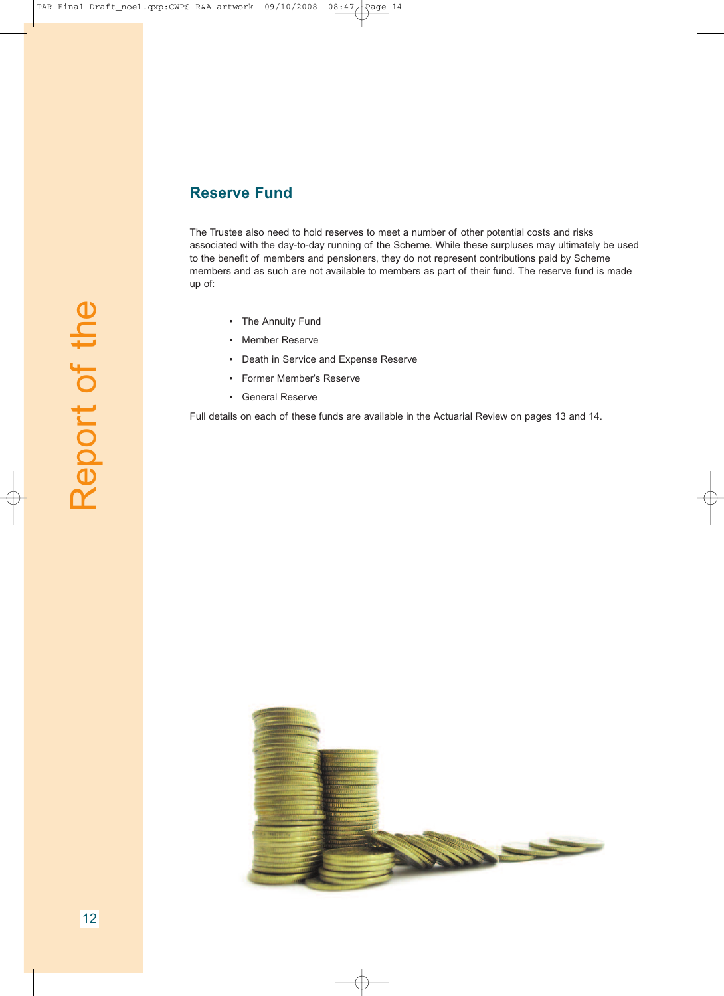### **Reserve Fund**

The Trustee also need to hold reserves to meet a number of other potential costs and risks associated with the day-to-day running of the Scheme. While these surpluses may ultimately be used to the benefit of members and pensioners, they do not represent contributions paid by Scheme members and as such are not available to members as part of their fund. The reserve fund is made up of:

- The Annuity Fund
- Member Reserve
- Death in Service and Expense Reserve
- Former Member's Reserve
- General Reserve

Full details on each of these funds are available in the Actuarial Review on pages 13 and 14.

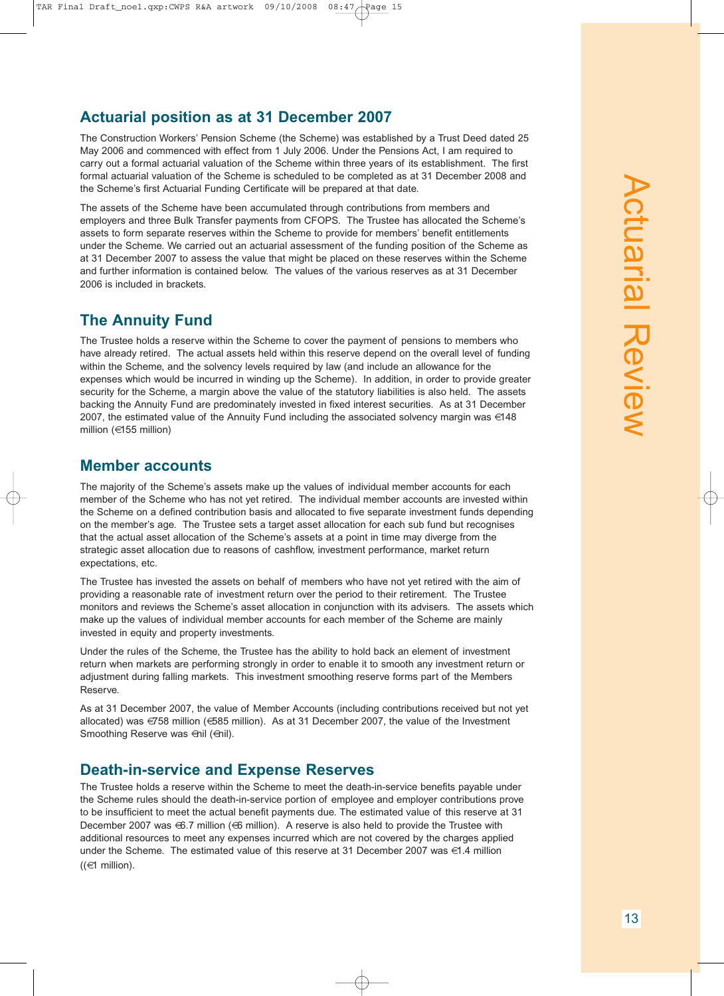### **Actuarial position as at 31 December 2007**

The Construction Workers' Pension Scheme (the Scheme) was established by a Trust Deed dated 25 May 2006 and commenced with effect from 1 July 2006. Under the Pensions Act, I am required to carry out a formal actuarial valuation of the Scheme within three years of its establishment. The first formal actuarial valuation of the Scheme is scheduled to be completed as at 31 December 2008 and the Scheme's first Actuarial Funding Certificate will be prepared at that date.

The assets of the Scheme have been accumulated through contributions from members and employers and three Bulk Transfer payments from CFOPS. The Trustee has allocated the Scheme's assets to form separate reserves within the Scheme to provide for members' benefit entitlements under the Scheme. We carried out an actuarial assessment of the funding position of the Scheme as at 31 December 2007 to assess the value that might be placed on these reserves within the Scheme and further information is contained below. The values of the various reserves as at 31 December 2006 is included in brackets.

#### **The Annuity Fund**

The Trustee holds a reserve within the Scheme to cover the payment of pensions to members who have already retired. The actual assets held within this reserve depend on the overall level of funding within the Scheme, and the solvency levels required by law (and include an allowance for the expenses which would be incurred in winding up the Scheme). In addition, in order to provide greater security for the Scheme, a margin above the value of the statutory liabilities is also held. The assets backing the Annuity Fund are predominately invested in fixed interest securities. As at 31 December 2007, the estimated value of the Annuity Fund including the associated solvency margin was  $\in 148$ million (€155 million)

#### **Member accounts**

The majority of the Scheme's assets make up the values of individual member accounts for each member of the Scheme who has not yet retired. The individual member accounts are invested within the Scheme on a defined contribution basis and allocated to five separate investment funds depending on the member's age. The Trustee sets a target asset allocation for each sub fund but recognises that the actual asset allocation of the Scheme's assets at a point in time may diverge from the strategic asset allocation due to reasons of cashflow, investment performance, market return expectations, etc.

The Trustee has invested the assets on behalf of members who have not yet retired with the aim of providing a reasonable rate of investment return over the period to their retirement. The Trustee monitors and reviews the Scheme's asset allocation in conjunction with its advisers. The assets which make up the values of individual member accounts for each member of the Scheme are mainly invested in equity and property investments.

Under the rules of the Scheme, the Trustee has the ability to hold back an element of investment return when markets are performing strongly in order to enable it to smooth any investment return or adjustment during falling markets. This investment smoothing reserve forms part of the Members Reserve.

As at 31 December 2007, the value of Member Accounts (including contributions received but not yet allocated) was €758 million (€585 million). As at 31 December 2007, the value of the Investment Smoothing Reserve was  $\oplus$ nil ( $\oplus$ nil).

#### **Death-in-service and Expense Reserves**

The Trustee holds a reserve within the Scheme to meet the death-in-service benefits payable under the Scheme rules should the death-in-service portion of employee and employer contributions prove to be insufficient to meet the actual benefit payments due. The estimated value of this reserve at 31 December 2007 was €6.7 million (€6 million). A reserve is also held to provide the Trustee with additional resources to meet any expenses incurred which are not covered by the charges applied under the Scheme. The estimated value of this reserve at 31 December 2007 was €1.4 million  $((\in 1$  million).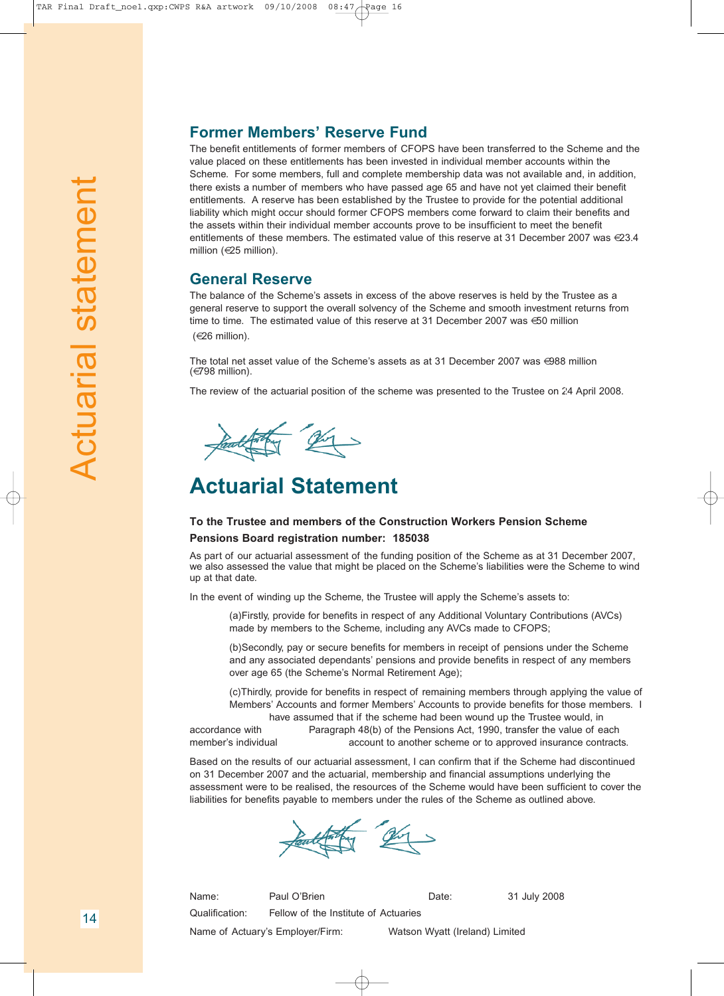#### **Former Members' Reserve Fund**

The benefit entitlements of former members of CFOPS have been transferred to the Scheme and the value placed on these entitlements has been invested in individual member accounts within the Scheme. For some members, full and complete membership data was not available and, in addition, there exists a number of members who have passed age 65 and have not yet claimed their benefit entitlements. A reserve has been established by the Trustee to provide for the potential additional liability which might occur should former CFOPS members come forward to claim their benefits and the assets within their individual member accounts prove to be insufficient to meet the benefit entitlements of these members. The estimated value of this reserve at 31 December 2007 was  $\in 23.4$ million (€25 million).

#### **General Reserve**

The balance of the Scheme's assets in excess of the above reserves is held by the Trustee as a general reserve to support the overall solvency of the Scheme and smooth investment returns from time to time. The estimated value of this reserve at 31 December 2007 was €50 million (€26 million).

The total net asset value of the Scheme's assets as at 31 December 2007 was €988 million (€798 million).

The review of the actuarial position of the scheme was presented to the Trustee on 24 April 2008.

they en

## **Actuarial Statement**

#### **To the Trustee and members of the Construction Workers Pension Scheme Pensions Board registration number: 185038**

As part of our actuarial assessment of the funding position of the Scheme as at 31 December 2007, we also assessed the value that might be placed on the Scheme's liabilities were the Scheme to wind up at that date.

In the event of winding up the Scheme, the Trustee will apply the Scheme's assets to:

(a)Firstly, provide for benefits in respect of any Additional Voluntary Contributions (AVCs) made by members to the Scheme, including any AVCs made to CFOPS;

(b)Secondly, pay or secure benefits for members in receipt of pensions under the Scheme and any associated dependants' pensions and provide benefits in respect of any members over age 65 (the Scheme's Normal Retirement Age);

(c)Thirdly, provide for benefits in respect of remaining members through applying the value of Members' Accounts and former Members' Accounts to provide benefits for those members. I have assumed that if the scheme had been wound up the Trustee would, in

accordance with Paragraph 48(b) of the Pensions Act, 1990, transfer the value of each member's individual account to another scheme or to approved insurance contracts.

Based on the results of our actuarial assessment, I can confirm that if the Scheme had discontinued on 31 December 2007 and the actuarial, membership and financial assumptions underlying the assessment were to be realised, the resources of the Scheme would have been sufficient to cover the liabilities for benefits payable to members under the rules of the Scheme as outlined above.

Name: Paul O'Brien Contract Date: 31 July 2008 Qualification: Fellow of the Institute of Actuaries

Name of Actuary's Employer/Firm: Watson Wyatt (Ireland) Limited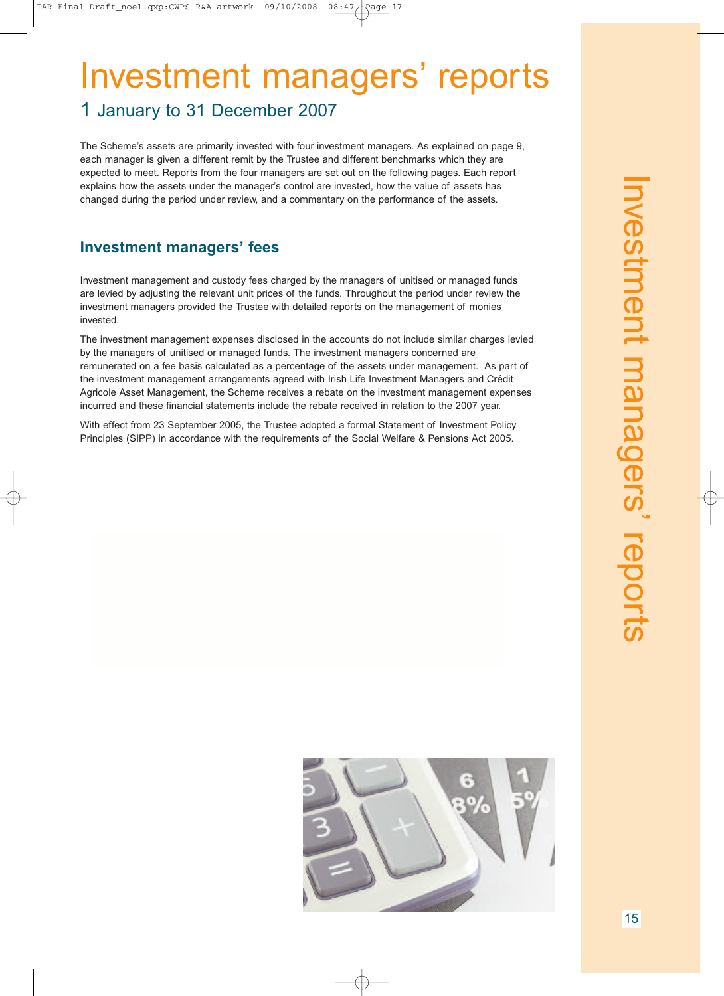# Investment managers' reports

## 1 January to 31 December 2007

The Scheme's assets are primarily invested with four investment managers. As explained on page 9, each manager is given a different remit by the Trustee and different benchmarks which they are expected to meet. Reports from the four managers are set out on the following pages. Each report explains how the assets under the manager's control are invested, how the value of assets has changed during the period under review, and a commentary on the performance of the assets.

## **Investment managers' fees**

Investment management and custody fees charged by the managers of unitised or managed funds are levied by adjusting the relevant unit prices of the funds. Throughout the period under review the investment managers provided the Trustee with detailed reports on the management of monies invested.

The investment management expenses disclosed in the accounts do not include similar charges levied by the managers of unitised or managed funds. The investment managers concerned are remunerated on a fee basis calculated as a percentage of the assets under management. As part of the investment management arrangements agreed with Irish Life Investment Managers and Crédit Agricole Asset Management, the Scheme receives a rebate on the investment management expenses incurred and these financial statements include the rebate received in relation to the 2007 year.

With effect from 23 September 2005, the Trustee adopted a formal Statement of Investment Policy Principles (SIPP) in accordance with the requirements of the Social Welfare & Pensions Act 2005.

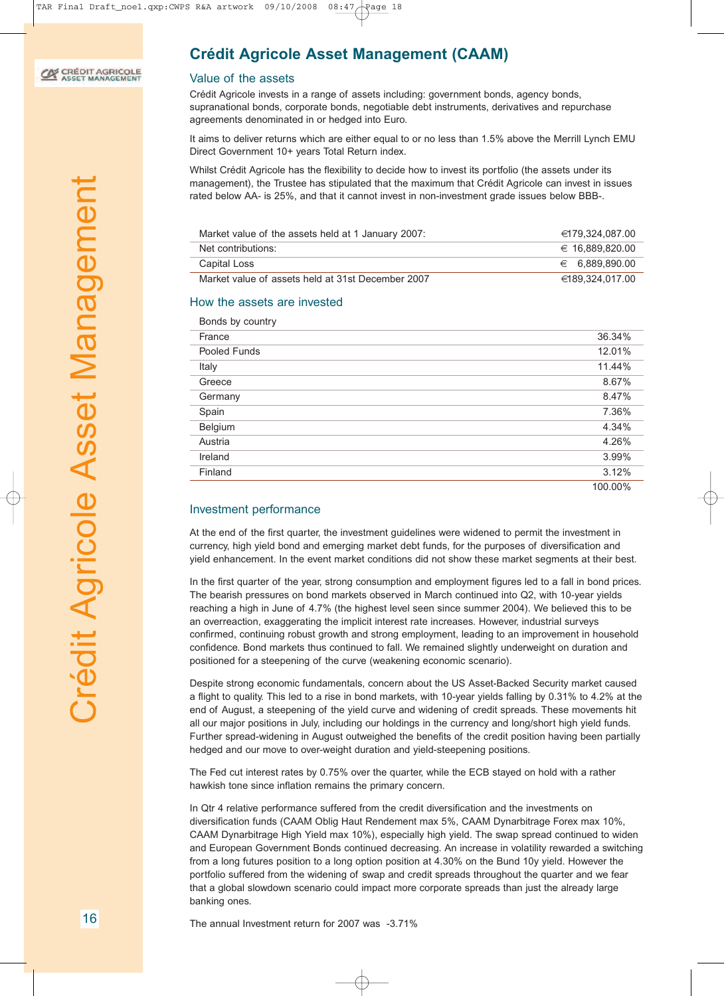## **CALCOUT AGRICOLE**

 $\overline{\phantom{a}}$ 

## **Crédit Agricole Asset Management (CAAM)**

#### Value of the assets

Crédit Agricole invests in a range of assets including: government bonds, agency bonds, supranational bonds, corporate bonds, negotiable debt instruments, derivatives and repurchase agreements denominated in or hedged into Euro.

It aims to deliver returns which are either equal to or no less than 1.5% above the Merrill Lynch EMU Direct Government 10+ years Total Return index.

Whilst Crédit Agricole has the flexibility to decide how to invest its portfolio (the assets under its management), the Trustee has stipulated that the maximum that Crédit Agricole can invest in issues rated below AA- is 25%, and that it cannot invest in non-investment grade issues below BBB-.

| Market value of the assets held at 1 January 2007: | €179.324.087.00 |
|----------------------------------------------------|-----------------|
| Net contributions:                                 | € 16.889.820.00 |
| Capital Loss                                       | € 6.889,890,00  |
| Market value of assets held at 31st December 2007  | €189.324.017.00 |

#### How the assets are invested

| Bonds by country |         |
|------------------|---------|
| France           | 36.34%  |
| Pooled Funds     | 12.01%  |
| Italy            | 11.44%  |
| Greece           | 8.67%   |
| Germany          | 8.47%   |
| Spain            | 7.36%   |
| Belgium          | 4.34%   |
| Austria          | 4.26%   |
| Ireland          | 3.99%   |
| Finland          | 3.12%   |
|                  | 100.00% |

#### Investment performance

At the end of the first quarter, the investment guidelines were widened to permit the investment in currency, high yield bond and emerging market debt funds, for the purposes of diversification and yield enhancement. In the event market conditions did not show these market segments at their best.

In the first quarter of the year, strong consumption and employment figures led to a fall in bond prices. The bearish pressures on bond markets observed in March continued into Q2, with 10-year yields reaching a high in June of 4.7% (the highest level seen since summer 2004). We believed this to be an overreaction, exaggerating the implicit interest rate increases. However, industrial surveys confirmed, continuing robust growth and strong employment, leading to an improvement in household confidence. Bond markets thus continued to fall. We remained slightly underweight on duration and positioned for a steepening of the curve (weakening economic scenario).

Despite strong economic fundamentals, concern about the US Asset-Backed Security market caused a flight to quality. This led to a rise in bond markets, with 10-year yields falling by 0.31% to 4.2% at the end of August, a steepening of the yield curve and widening of credit spreads. These movements hit all our major positions in July, including our holdings in the currency and long/short high yield funds. Further spread-widening in August outweighed the benefits of the credit position having been partially hedged and our move to over-weight duration and yield-steepening positions.

The Fed cut interest rates by 0.75% over the quarter, while the ECB stayed on hold with a rather hawkish tone since inflation remains the primary concern.

In Qtr 4 relative performance suffered from the credit diversification and the investments on diversification funds (CAAM Oblig Haut Rendement max 5%, CAAM Dynarbitrage Forex max 10%, CAAM Dynarbitrage High Yield max 10%), especially high yield. The swap spread continued to widen and European Government Bonds continued decreasing. An increase in volatility rewarded a switching from a long futures position to a long option position at 4.30% on the Bund 10y yield. However the portfolio suffered from the widening of swap and credit spreads throughout the quarter and we fear that a global slowdown scenario could impact more corporate spreads than just the already large banking ones.

The annual Investment return for 2007 was -3.71%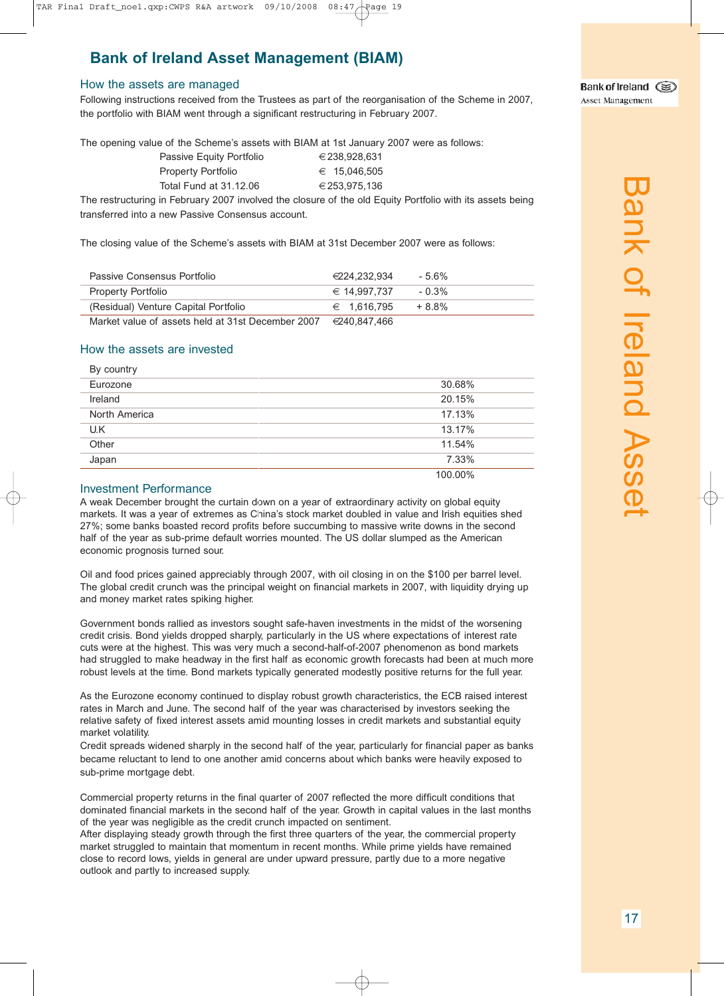## **Bank of Ireland Asset Management (BIAM)**

#### How the assets are managed

Following instructions received from the Trustees as part of the reorganisation of the Scheme in 2007, the portfolio with BIAM went through a significant restructuring in February 2007.

The opening value of the Scheme's assets with BIAM at 1st January 2007 were as follows:

| Passive Equity Portfolio  | €238.928.631 |
|---------------------------|--------------|
| <b>Property Portfolio</b> | € 15.046.505 |
| Total Fund at 31.12.06    | €253.975.136 |

The restructuring in February 2007 involved the closure of the old Equity Portfolio with its assets being transferred into a new Passive Consensus account.

The closing value of the Scheme's assets with BIAM at 31st December 2007 were as follows:

| Passive Consensus Portfolio                       | €224.232.934          | - 5.6%   |
|---------------------------------------------------|-----------------------|----------|
| <b>Property Portfolio</b>                         | $\epsilon$ 14.997.737 | $-0.3\%$ |
| (Residual) Venture Capital Portfolio              | $∈$ 1.616.795         | $+8.8%$  |
| Market value of assets held at 31st December 2007 | €240.847.466          |          |

#### How the assets are invested

| By country    |         |
|---------------|---------|
| Eurozone      | 30.68%  |
| Ireland       | 20.15%  |
| North America | 17.13%  |
| U.K           | 13.17%  |
| Other         | 11.54%  |
| Japan         | 7.33%   |
|               | 100.00% |

#### Investment Performance

A weak December brought the curtain down on a year of extraordinary activity on global equity markets. It was a year of extremes as China's stock market doubled in value and Irish equities shed 27%; some banks boasted record profits before succumbing to massive write downs in the second half of the year as sub-prime default worries mounted. The US dollar slumped as the American economic prognosis turned sour.

Oil and food prices gained appreciably through 2007, with oil closing in on the \$100 per barrel level. The global credit crunch was the principal weight on financial markets in 2007, with liquidity drying up and money market rates spiking higher.

Government bonds rallied as investors sought safe-haven investments in the midst of the worsening credit crisis. Bond yields dropped sharply, particularly in the US where expectations of interest rate cuts were at the highest. This was very much a second-half-of-2007 phenomenon as bond markets had struggled to make headway in the first half as economic growth forecasts had been at much more robust levels at the time. Bond markets typically generated modestly positive returns for the full year.

As the Eurozone economy continued to display robust growth characteristics, the ECB raised interest rates in March and June. The second half of the year was characterised by investors seeking the relative safety of fixed interest assets amid mounting losses in credit markets and substantial equity market volatility.

Credit spreads widened sharply in the second half of the year, particularly for financial paper as banks became reluctant to lend to one another amid concerns about which banks were heavily exposed to sub-prime mortgage debt.

Commercial property returns in the final quarter of 2007 reflected the more difficult conditions that dominated financial markets in the second half of the year. Growth in capital values in the last months of the year was negligible as the credit crunch impacted on sentiment.

After displaying steady growth through the first three quarters of the year, the commercial property market struggled to maintain that momentum in recent months. While prime yields have remained close to record lows, yields in general are under upward pressure, partly due to a more negative outlook and partly to increased supply.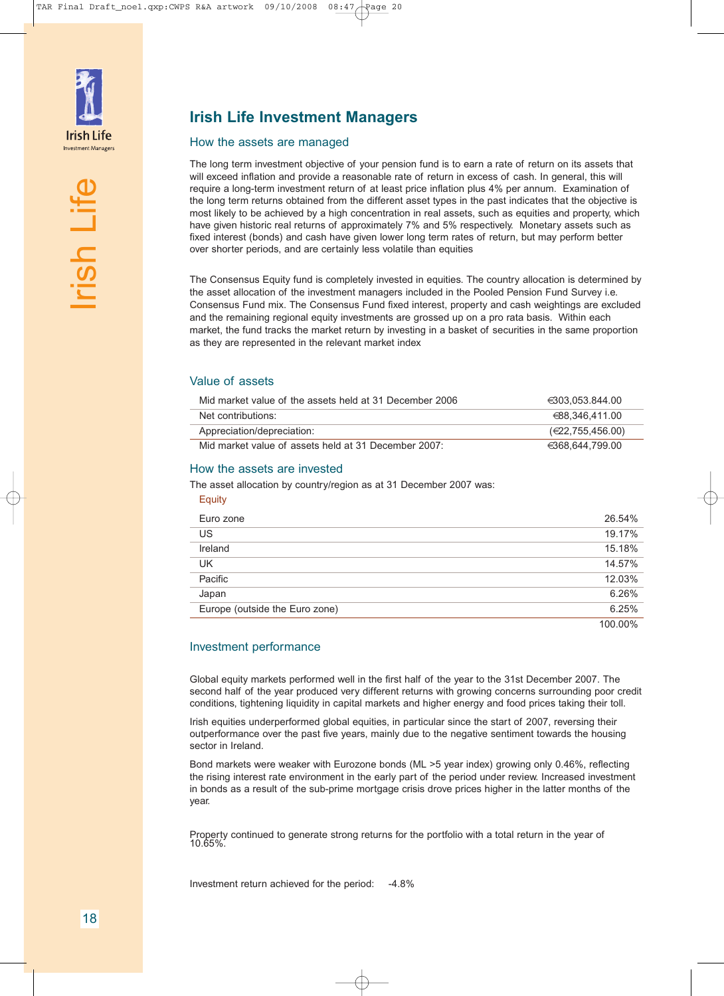

<u>ial</u>

 $\overline{\phantom{a}}$ 

e<br>Life

#### How the assets are managed

The long term investment objective of your pension fund is to earn a rate of return on its assets that will exceed inflation and provide a reasonable rate of return in excess of cash. In general, this will require a long-term investment return of at least price inflation plus 4% per annum. Examination of the long term returns obtained from the different asset types in the past indicates that the objective is most likely to be achieved by a high concentration in real assets, such as equities and property, which have given historic real returns of approximately 7% and 5% respectively. Monetary assets such as fixed interest (bonds) and cash have given lower long term rates of return, but may perform better over shorter periods, and are certainly less volatile than equities

The Consensus Equity fund is completely invested in equities. The country allocation is determined by the asset allocation of the investment managers included in the Pooled Pension Fund Survey i.e. Consensus Fund mix. The Consensus Fund fixed interest, property and cash weightings are excluded and the remaining regional equity investments are grossed up on a pro rata basis. Within each market, the fund tracks the market return by investing in a basket of securities in the same proportion as they are represented in the relevant market index

#### Value of assets

| Mid market value of the assets held at 31 December 2006 | €303.053.844.00            |
|---------------------------------------------------------|----------------------------|
| Net contributions:                                      | €88.346.411.00             |
| Appreciation/depreciation:                              | $(\epsilon$ 22,755,456.00) |
| Mid market value of assets held at 31 December 2007:    | €368.644.799.00            |

#### How the assets are invested

The asset allocation by country/region as at 31 December 2007 was:

| <b>Equity</b>                  |         |
|--------------------------------|---------|
| Euro zone                      | 26.54%  |
| US                             | 19.17%  |
| Ireland                        | 15.18%  |
| <b>UK</b>                      | 14.57%  |
| Pacific                        | 12.03%  |
| Japan                          | 6.26%   |
| Europe (outside the Euro zone) | 6.25%   |
|                                | 100.00% |

#### Investment performance

Global equity markets performed well in the first half of the year to the 31st December 2007. The second half of the year produced very different returns with growing concerns surrounding poor credit conditions, tightening liquidity in capital markets and higher energy and food prices taking their toll.

Irish equities underperformed global equities, in particular since the start of 2007, reversing their outperformance over the past five years, mainly due to the negative sentiment towards the housing sector in Ireland.

Bond markets were weaker with Eurozone bonds (ML >5 year index) growing only 0.46%, reflecting the rising interest rate environment in the early part of the period under review. Increased investment in bonds as a result of the sub-prime mortgage crisis drove prices higher in the latter months of the year.

Property continued to generate strong returns for the portfolio with a total return in the year of 10.65%.

Investment return achieved for the period: -4.8%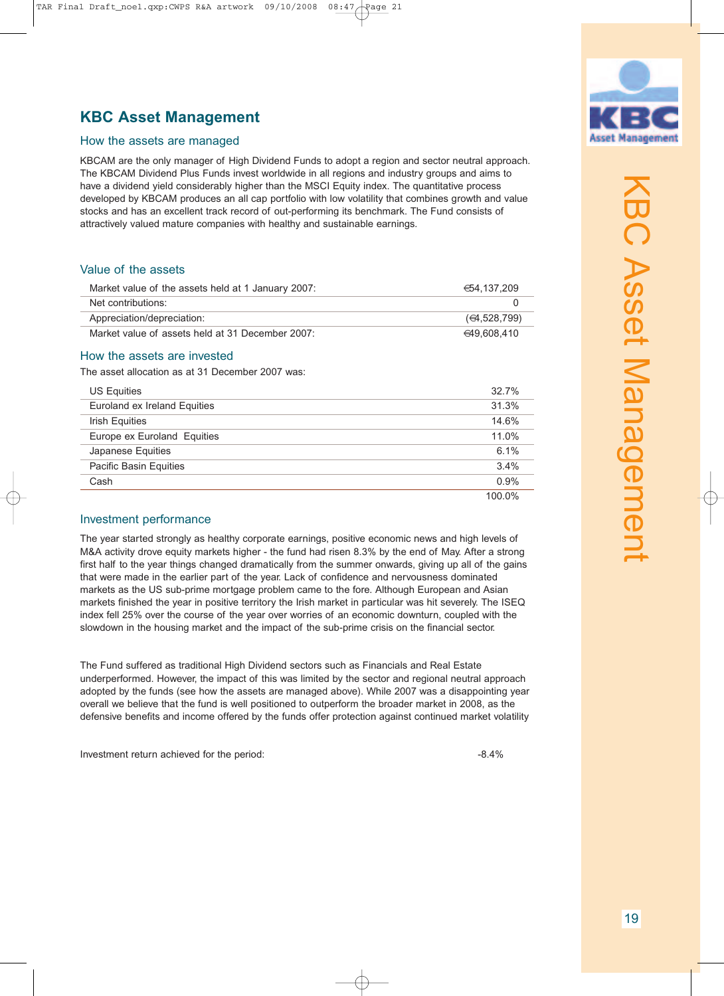## **KBC Asset Management**

TAR Final Draft\_noel.qxp:CWPS R&A artwork 09/10/2008 08:47 Page 21

#### How the assets are managed

KBCAM are the only manager of High Dividend Funds to adopt a region and sector neutral approach. The KBCAM Dividend Plus Funds invest worldwide in all regions and industry groups and aims to have a dividend yield considerably higher than the MSCI Equity index. The quantitative process developed by KBCAM produces an all cap portfolio with low volatility that combines growth and value stocks and has an excellent track record of out-performing its benchmark. The Fund consists of attractively valued mature companies with healthy and sustainable earnings.

#### Value of the assets

| Market value of the assets held at 1 January 2007: | €54.137.209  |
|----------------------------------------------------|--------------|
| Net contributions:                                 |              |
| Appreciation/depreciation:                         | (64.528.799) |
| Market value of assets held at 31 December 2007:   | €49.608.410  |

#### How the assets are invested

The asset allocation as at 31 December 2007 was:

| <b>US Equities</b>           | 32.7%  |
|------------------------------|--------|
| Euroland ex Ireland Equities | 31.3%  |
| <b>Irish Equities</b>        | 14.6%  |
| Europe ex Euroland Equities  | 11.0%  |
| Japanese Equities            | 6.1%   |
| Pacific Basin Equities       | 3.4%   |
| Cash                         | 0.9%   |
|                              | 100.0% |

#### Investment performance

The year started strongly as healthy corporate earnings, positive economic news and high levels of M&A activity drove equity markets higher - the fund had risen 8.3% by the end of May. After a strong first half to the year things changed dramatically from the summer onwards, giving up all of the gains that were made in the earlier part of the year. Lack of confidence and nervousness dominated markets as the US sub-prime mortgage problem came to the fore. Although European and Asian markets finished the year in positive territory the Irish market in particular was hit severely. The ISEQ index fell 25% over the course of the year over worries of an economic downturn, coupled with the slowdown in the housing market and the impact of the sub-prime crisis on the financial sector.

The Fund suffered as traditional High Dividend sectors such as Financials and Real Estate underperformed. However, the impact of this was limited by the sector and regional neutral approach adopted by the funds (see how the assets are managed above). While 2007 was a disappointing year overall we believe that the fund is well positioned to outperform the broader market in 2008, as the defensive benefits and income offered by the funds offer protection against continued market volatility

Investment return achieved for the period:  $-8.4\%$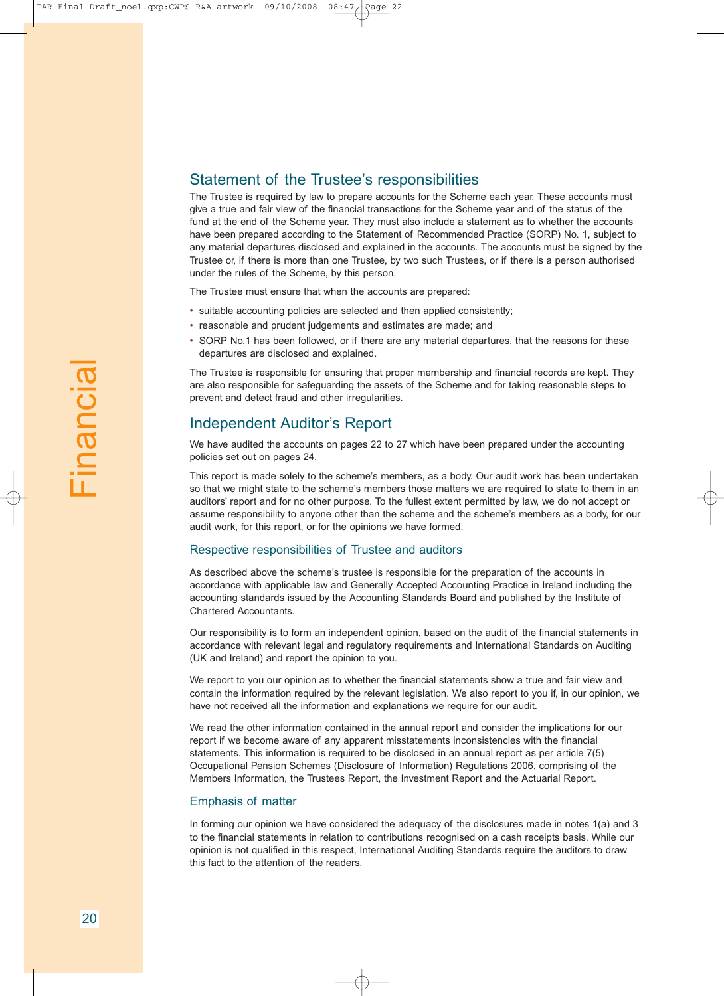#### Statement of the Trustee's responsibilities

The Trustee is required by law to prepare accounts for the Scheme each year. These accounts must give a true and fair view of the financial transactions for the Scheme year and of the status of the fund at the end of the Scheme year. They must also include a statement as to whether the accounts have been prepared according to the Statement of Recommended Practice (SORP) No. 1, subject to any material departures disclosed and explained in the accounts. The accounts must be signed by the Trustee or, if there is more than one Trustee, by two such Trustees, or if there is a person authorised under the rules of the Scheme, by this person.

The Trustee must ensure that when the accounts are prepared:

- suitable accounting policies are selected and then applied consistently;
- reasonable and prudent judgements and estimates are made; and
- SORP No.1 has been followed, or if there are any material departures, that the reasons for these departures are disclosed and explained.

The Trustee is responsible for ensuring that proper membership and financial records are kept. They are also responsible for safeguarding the assets of the Scheme and for taking reasonable steps to prevent and detect fraud and other irregularities.

#### Independent Auditor's Report

We have audited the accounts on pages 22 to 27 which have been prepared under the accounting policies set out on pages 24.

This report is made solely to the scheme's members, as a body. Our audit work has been undertaken so that we might state to the scheme's members those matters we are required to state to them in an auditors' report and for no other purpose. To the fullest extent permitted by law, we do not accept or assume responsibility to anyone other than the scheme and the scheme's members as a body, for our audit work, for this report, or for the opinions we have formed.

#### Respective responsibilities of Trustee and auditors

As described above the scheme's trustee is responsible for the preparation of the accounts in accordance with applicable law and Generally Accepted Accounting Practice in Ireland including the accounting standards issued by the Accounting Standards Board and published by the Institute of Chartered Accountants.

Our responsibility is to form an independent opinion, based on the audit of the financial statements in accordance with relevant legal and regulatory requirements and International Standards on Auditing (UK and Ireland) and report the opinion to you.

We report to you our opinion as to whether the financial statements show a true and fair view and contain the information required by the relevant legislation. We also report to you if, in our opinion, we have not received all the information and explanations we require for our audit.

We read the other information contained in the annual report and consider the implications for our report if we become aware of any apparent misstatements inconsistencies with the financial statements. This information is required to be disclosed in an annual report as per article 7(5) Occupational Pension Schemes (Disclosure of Information) Regulations 2006, comprising of the Members Information, the Trustees Report, the Investment Report and the Actuarial Report.

#### Emphasis of matter

In forming our opinion we have considered the adequacy of the disclosures made in notes 1(a) and 3 to the financial statements in relation to contributions recognised on a cash receipts basis. While our opinion is not qualified in this respect, International Auditing Standards require the auditors to draw this fact to the attention of the readers.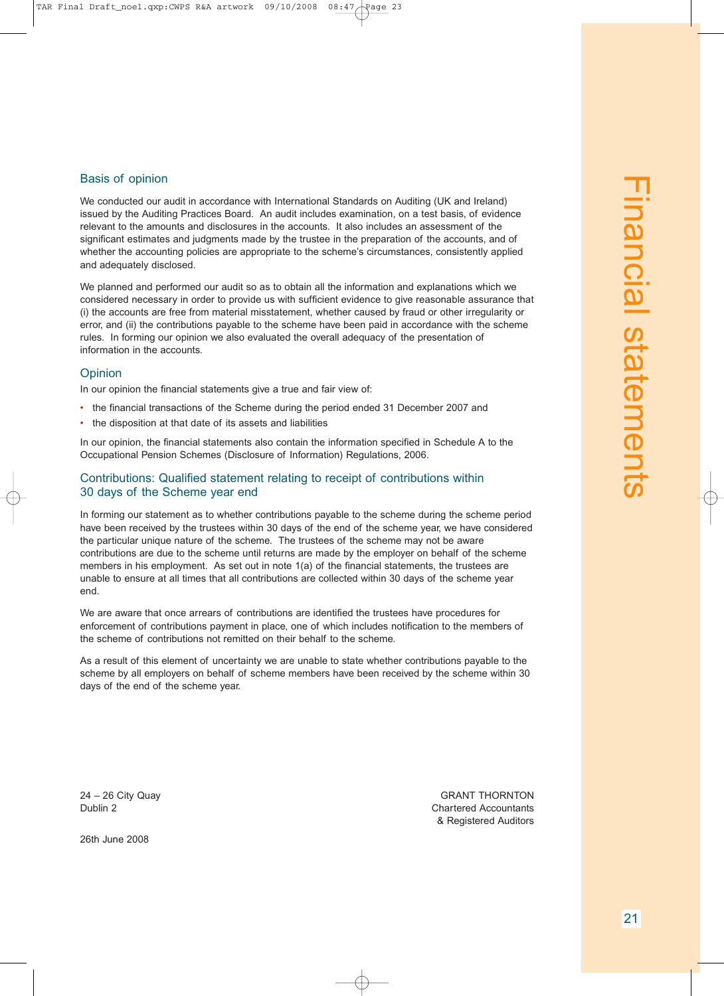#### Basis of opinion

We conducted our audit in accordance with International Standards on Auditing (UK and Ireland) issued by the Auditing Practices Board. An audit includes examination, on a test basis, of evidence relevant to the amounts and disclosures in the accounts. It also includes an assessment of the significant estimates and judgments made by the trustee in the preparation of the accounts, and of whether the accounting policies are appropriate to the scheme's circumstances, consistently applied and adequately disclosed.

We planned and performed our audit so as to obtain all the information and explanations which we considered necessary in order to provide us with sufficient evidence to give reasonable assurance that (i) the accounts are free from material misstatement, whether caused by fraud or other irregularity or error, and (ii) the contributions payable to the scheme have been paid in accordance with the scheme rules. In forming our opinion we also evaluated the overall adequacy of the presentation of information in the accounts.

#### **Opinion**

In our opinion the financial statements give a true and fair view of:

- the financial transactions of the Scheme during the period ended 31 December 2007 and
- the disposition at that date of its assets and liabilities

In our opinion, the financial statements also contain the information specified in Schedule A to the Occupational Pension Schemes (Disclosure of Information) Regulations, 2006.

#### Contributions: Qualified statement relating to receipt of contributions within 30 days of the Scheme year end

In forming our statement as to whether contributions payable to the scheme during the scheme period have been received by the trustees within 30 days of the end of the scheme year, we have considered the particular unique nature of the scheme. The trustees of the scheme may not be aware contributions are due to the scheme until returns are made by the employer on behalf of the scheme members in his employment. As set out in note 1(a) of the financial statements, the trustees are unable to ensure at all times that all contributions are collected within 30 days of the scheme year end.

We are aware that once arrears of contributions are identified the trustees have procedures for enforcement of contributions payment in place, one of which includes notification to the members of the scheme of contributions not remitted on their behalf to the scheme.

As a result of this element of uncertainty we are unable to state whether contributions payable to the scheme by all employers on behalf of scheme members have been received by the scheme within 30 days of the end of the scheme year.

26th June 2008

24 – 26 City Quay GRANT THORNTON **Dublin 2** Chartered Accountants & Registered Auditors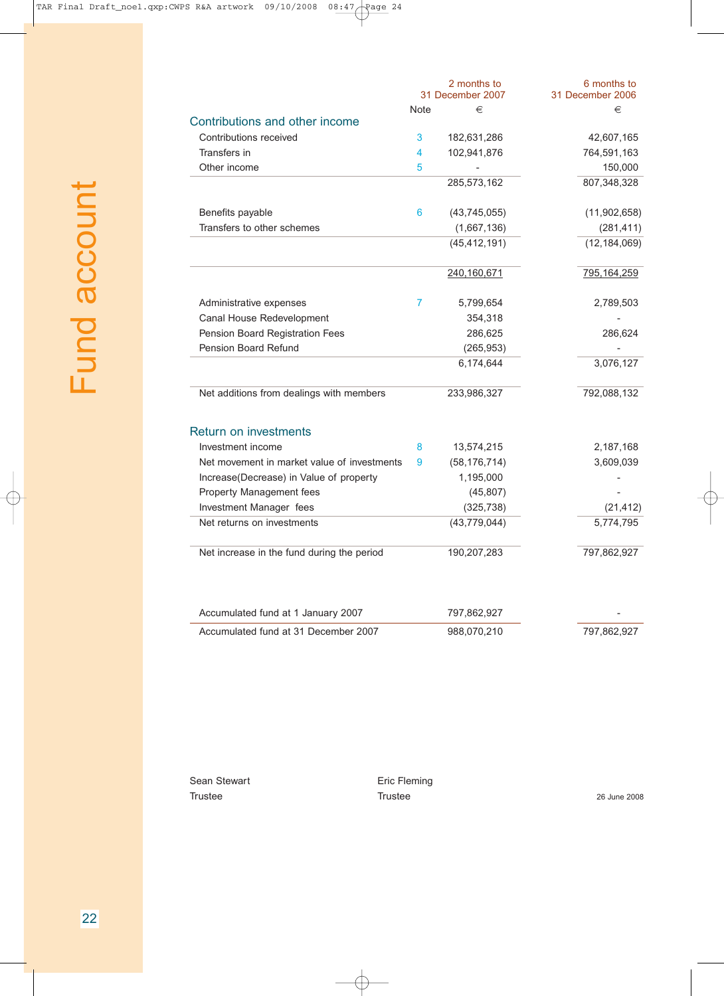|                                             |      | 2 months to<br>31 December 2007 | 6 months to<br>31 December 2006 |
|---------------------------------------------|------|---------------------------------|---------------------------------|
|                                             | Note | €                               | €                               |
| Contributions and other income              |      |                                 |                                 |
| Contributions received                      | 3    | 182,631,286                     | 42,607,165                      |
| Transfers in                                | 4    | 102,941,876                     | 764,591,163                     |
| Other income                                | 5    |                                 | 150,000                         |
|                                             |      | 285,573,162                     | 807,348,328                     |
| Benefits payable                            | 6    | (43,745,055)                    | (11,902,658)                    |
| Transfers to other schemes                  |      | (1,667,136)                     | (281, 411)                      |
|                                             |      | (45, 412, 191)                  | (12, 184, 069)                  |
|                                             |      | 240,160,671                     | 795, 164, 259                   |
| Administrative expenses                     | 7    | 5,799,654                       | 2,789,503                       |
| Canal House Redevelopment                   |      | 354,318                         |                                 |
| Pension Board Registration Fees             |      | 286,625                         | 286,624                         |
| Pension Board Refund                        |      | (265, 953)                      |                                 |
|                                             |      | 6,174,644                       | 3,076,127                       |
| Net additions from dealings with members    |      | 233,986,327                     | 792,088,132                     |
| <b>Return on investments</b>                |      |                                 |                                 |
| Investment income                           | 8    | 13,574,215                      | 2,187,168                       |
| Net movement in market value of investments | 9    | (58, 176, 714)                  | 3,609,039                       |
| Increase(Decrease) in Value of property     |      | 1,195,000                       |                                 |
| Property Management fees                    |      | (45, 807)                       |                                 |
| Investment Manager fees                     |      | (325, 738)                      | (21, 412)                       |
| Net returns on investments                  |      | (43, 779, 044)                  | 5,774,795                       |
| Net increase in the fund during the period  |      | 190,207,283                     | 797,862,927                     |
| Accumulated fund at 1 January 2007          |      | 797,862,927                     |                                 |
| Accumulated fund at 31 December 2007        |      | 988,070,210                     | 797,862,927                     |

Sean Stewart **Example 2018** Eric Fleming

Trustee 2008 26 June 2008 26 June 2008 26 June 2008

 $\oplus$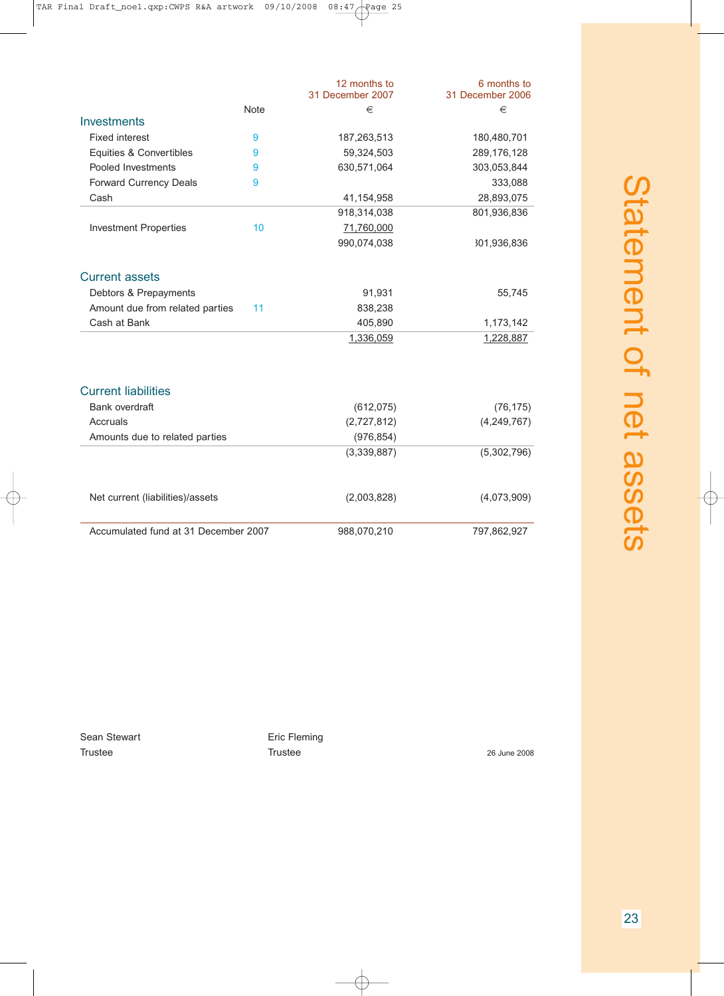|                                      |             | 12 months to<br>31 December 2007 | 6 months to<br>31 December 2006 |
|--------------------------------------|-------------|----------------------------------|---------------------------------|
|                                      | <b>Note</b> | €                                | €                               |
| <b>Investments</b>                   |             |                                  |                                 |
| <b>Fixed interest</b>                | 9           | 187,263,513                      | 180,480,701                     |
| Equities & Convertibles              | 9           | 59,324,503                       | 289,176,128                     |
| Pooled Investments                   | 9           | 630,571,064                      | 303,053,844                     |
| <b>Forward Currency Deals</b>        | 9           |                                  | 333,088                         |
| Cash                                 |             | 41,154,958                       | 28,893,075                      |
|                                      |             | 918,314,038                      | 801,936,836                     |
| <b>Investment Properties</b>         | 10          | 71,760,000                       |                                 |
|                                      |             | 990,074,038                      | 301,936,836                     |
| <b>Current assets</b>                |             |                                  |                                 |
| Debtors & Prepayments                |             | 91,931                           | 55,745                          |
| Amount due from related parties      | 11          | 838,238                          |                                 |
| Cash at Bank                         |             | 405,890                          | 1,173,142                       |
|                                      |             | 1,336,059                        | 1,228,887                       |
| <b>Current liabilities</b>           |             |                                  |                                 |
| <b>Bank overdraft</b>                |             | (612, 075)                       | (76, 175)                       |
| Accruals                             |             | (2,727,812)                      | (4, 249, 767)                   |
| Amounts due to related parties       |             | (976, 854)                       |                                 |
|                                      |             | (3,339,887)                      | (5,302,796)                     |
| Net current (liabilities)/assets     |             | (2,003,828)                      | (4,073,909)                     |
| Accumulated fund at 31 December 2007 |             | 988,070,210                      | 797,862,927                     |

Sean Stewart **Exercise Exercise Exercise Sean Stewart** Trustee 26 June 2008

⇔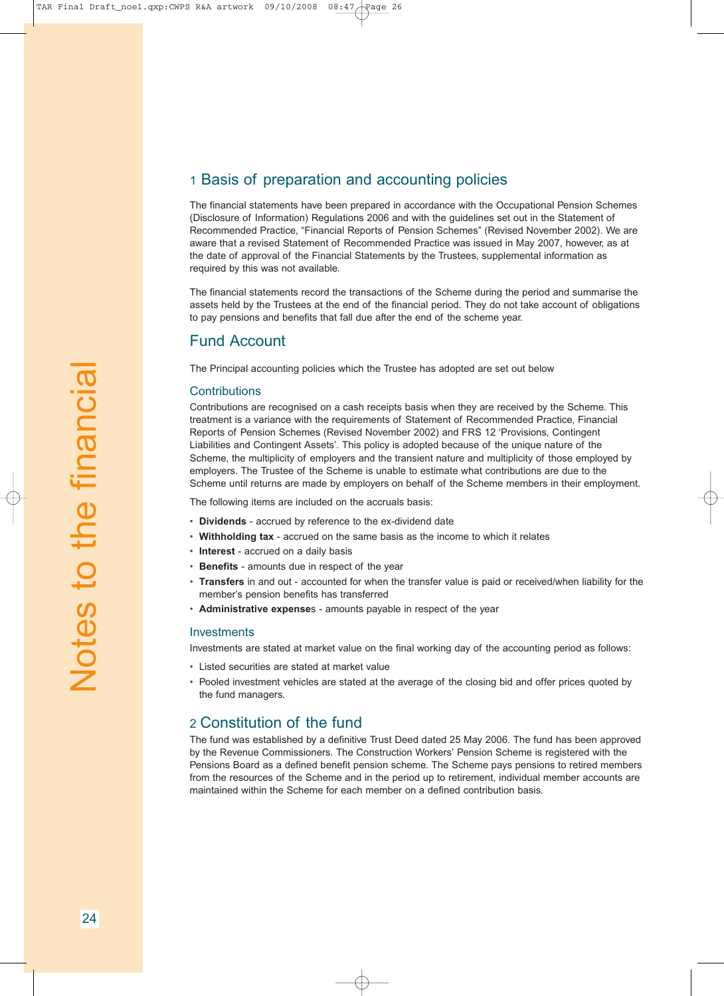### 1 Basis of preparation and accounting policies

The financial statements have been prepared in accordance with the Occupational Pension Schemes (Disclosure of Information) Regulations 2006 and with the guidelines set out in the Statement of Recommended Practice, "Financial Reports of Pension Schemes" (Revised November 2002). We are aware that a revised Statement of Recommended Practice was issued in May 2007, however, as at the date of approval of the Financial Statements by the Trustees, supplemental information as required by this was not available.

The financial statements record the transactions of the Scheme during the period and summarise the assets held by the Trustees at the end of the financial period. They do not take account of obligations to pay pensions and benefits that fall due after the end of the scheme year.

#### Fund Account

The Principal accounting policies which the Trustee has adopted are set out below

#### Contributions

Contributions are recognised on a cash receipts basis when they are received by the Scheme. This treatment is a variance with the requirements of Statement of Recommended Practice, Financial Reports of Pension Schemes (Revised November 2002) and FRS 12 'Provisions, Contingent Liabilities and Contingent Assets'. This policy is adopted because of the unique nature of the Scheme, the multiplicity of employers and the transient nature and multiplicity of those employed by employers. The Trustee of the Scheme is unable to estimate what contributions are due to the Scheme until returns are made by employers on behalf of the Scheme members in their employment.

The following items are included on the accruals basis:

- **Dividends** accrued by reference to the ex-dividend date
- **Withholding tax** accrued on the same basis as the income to which it relates
- **Interest** accrued on a daily basis
- **Benefits** amounts due in respect of the year
- **Transfers** in and out accounted for when the transfer value is paid or received/when liability for the member's pension benefits has transferred
- **Administrative expense**s amounts payable in respect of the year

#### **Investments**

Investments are stated at market value on the final working day of the accounting period as follows:

- Listed securities are stated at market value
- Pooled investment vehicles are stated at the average of the closing bid and offer prices quoted by the fund managers.

#### 2 Constitution of the fund

The fund was established by a definitive Trust Deed dated 25 May 2006. The fund has been approved by the Revenue Commissioners. The Construction Workers' Pension Scheme is registered with the Pensions Board as a defined benefit pension scheme. The Scheme pays pensions to retired members from the resources of the Scheme and in the period up to retirement, individual member accounts are maintained within the Scheme for each member on a defined contribution basis.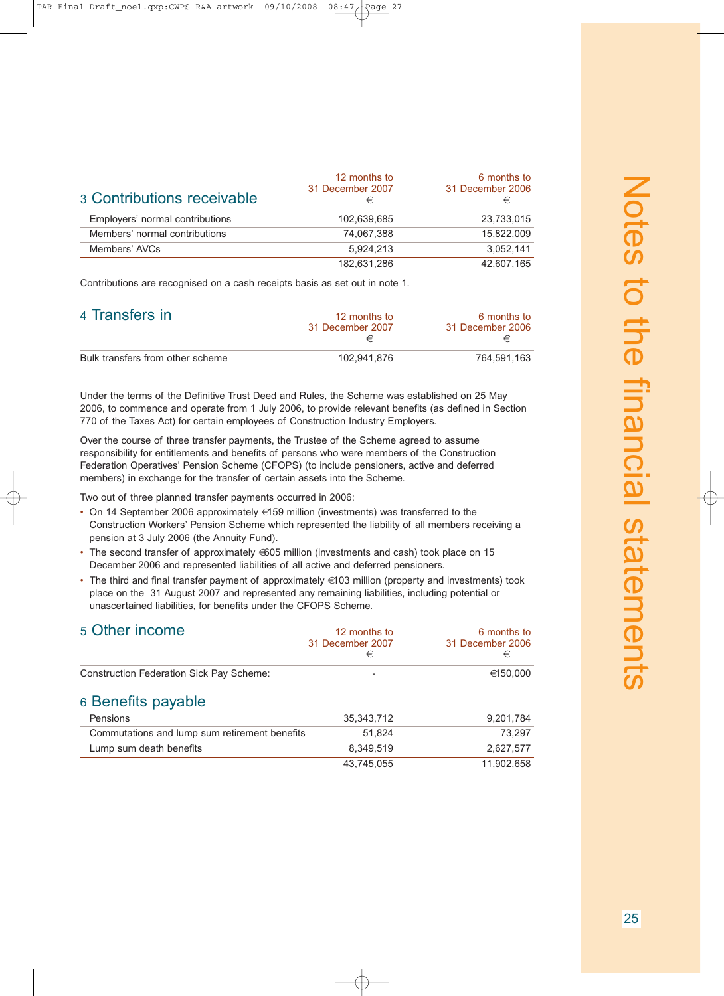| <b>3 Contributions receivable</b> | 12 months to<br>31 December 2007<br>€ | 6 months to<br>31 December 2006<br>€ |
|-----------------------------------|---------------------------------------|--------------------------------------|
| Employers' normal contributions   | 102,639,685                           | 23,733,015                           |
| Members' normal contributions     | 74.067.388                            | 15.822.009                           |
| Members' AVCs                     | 5.924.213                             | 3,052,141                            |
|                                   | 182,631,286                           | 42.607.165                           |

Contributions are recognised on a cash receipts basis as set out in note 1.

| 4 Transfers in                   | 12 months to<br>31 December 2007 | 6 months to<br>31 December 2006 |
|----------------------------------|----------------------------------|---------------------------------|
| Bulk transfers from other scheme | 102.941.876                      | 764.591.163                     |

Under the terms of the Definitive Trust Deed and Rules, the Scheme was established on 25 May 2006, to commence and operate from 1 July 2006, to provide relevant benefits (as defined in Section 770 of the Taxes Act) for certain employees of Construction Industry Employers.

Over the course of three transfer payments, the Trustee of the Scheme agreed to assume responsibility for entitlements and benefits of persons who were members of the Construction Federation Operatives' Pension Scheme (CFOPS) (to include pensioners, active and deferred members) in exchange for the transfer of certain assets into the Scheme.

Two out of three planned transfer payments occurred in 2006:

- On 14 September 2006 approximately €159 million (investments) was transferred to the Construction Workers' Pension Scheme which represented the liability of all members receiving a pension at 3 July 2006 (the Annuity Fund).
- The second transfer of approximately €605 million (investments and cash) took place on 15 December 2006 and represented liabilities of all active and deferred pensioners.
- The third and final transfer payment of approximately €103 million (property and investments) took place on the 31 August 2007 and represented any remaining liabilities, including potential or unascertained liabilities, for benefits under the CFOPS Scheme.

| 5 Other income                                  | 12 months to<br>31 December 2007<br>€ | 6 months to<br>31 December 2006<br>€ |
|-------------------------------------------------|---------------------------------------|--------------------------------------|
| <b>Construction Federation Sick Pay Scheme:</b> |                                       | €150,000                             |
| 6 Benefits payable                              |                                       |                                      |
| Pensions                                        | 35, 343, 712                          | 9,201,784                            |
| Commutations and lump sum retirement benefits   | 51.824                                | 73.297                               |
| Lump sum death benefits                         | 8.349.519                             | 2,627,577                            |
|                                                 | 43,745,055                            | 11,902,658                           |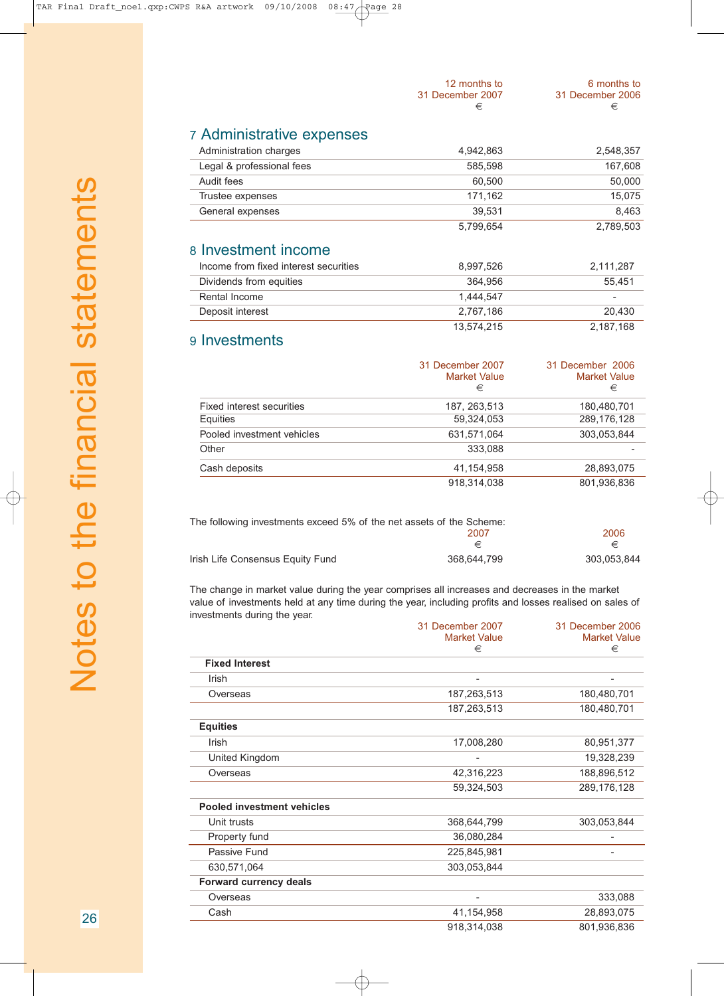| 12 months to<br>31 December 2007<br>€ | 6 months to<br>31 December 2006<br>€ |
|---------------------------------------|--------------------------------------|
|                                       | 2.548.357                            |
|                                       | 4 942 863                            |

## 7 Administrative exp

| Administration charges    | 4,942,863 | 2,548,357 |
|---------------------------|-----------|-----------|
| Legal & professional fees | 585.598   | 167.608   |
| Audit fees                | 60.500    | 50,000    |
| Trustee expenses          | 171.162   | 15.075    |
| General expenses          | 39.531    | 8.463     |
|                           | 5.799.654 | 2,789,503 |
| 8 Investment income       |           |           |

| Income from fixed interest securities | 8.997.526  | 2.111.287 |
|---------------------------------------|------------|-----------|
| Dividends from equities               | 364.956    | 55.451    |
| Rental Income                         | 1.444.547  |           |
| Deposit interest                      | 2.767.186  | 20.430    |
|                                       | 13.574.215 | 2,187,168 |

## 9 Investments

|                            | 31 December 2007<br><b>Market Value</b><br>€ | 31 December 2006<br><b>Market Value</b><br>€ |
|----------------------------|----------------------------------------------|----------------------------------------------|
| Fixed interest securities  | 187, 263, 513                                | 180,480,701                                  |
| Equities                   | 59,324,053                                   | 289,176,128                                  |
| Pooled investment vehicles | 631,571,064                                  | 303,053,844                                  |
| Other                      | 333.088                                      |                                              |
| Cash deposits              | 41,154,958                                   | 28,893,075                                   |
|                            | 918.314.038                                  | 801,936,836                                  |

| The following investments exceed 5% of the net assets of the Scheme: |             |             |
|----------------------------------------------------------------------|-------------|-------------|
|                                                                      | 2007        | 2006        |
|                                                                      | €           | €           |
| Irish Life Consensus Equity Fund                                     | 368.644.799 | 303.053.844 |

The change in market value during the year comprises all increases and decreases in the market value of investments held at any time during the year, including profits and losses realised on sales of investments during the year.

|                                   | 31 December 2007<br><b>Market Value</b><br>€ | 31 December 2006<br><b>Market Value</b><br>€ |
|-----------------------------------|----------------------------------------------|----------------------------------------------|
|                                   |                                              |                                              |
| <b>Fixed Interest</b>             |                                              |                                              |
| Irish                             |                                              |                                              |
| Overseas                          | 187,263,513                                  | 180,480,701                                  |
|                                   | 187,263,513                                  | 180,480,701                                  |
| <b>Equities</b>                   |                                              |                                              |
| Irish                             | 17,008,280                                   | 80,951,377                                   |
| United Kingdom                    |                                              | 19,328,239                                   |
| Overseas                          | 42,316,223                                   | 188,896,512                                  |
|                                   | 59,324,503                                   | 289,176,128                                  |
| <b>Pooled investment vehicles</b> |                                              |                                              |
| Unit trusts                       | 368,644,799                                  | 303,053,844                                  |
| Property fund                     | 36,080,284                                   |                                              |
| Passive Fund                      | 225,845,981                                  |                                              |
| 630,571,064                       | 303,053,844                                  |                                              |
| <b>Forward currency deals</b>     |                                              |                                              |
| Overseas                          | ۰                                            | 333,088                                      |
| Cash                              | 41,154,958                                   | 28,893,075                                   |
|                                   | 918,314,038                                  | 801,936,836                                  |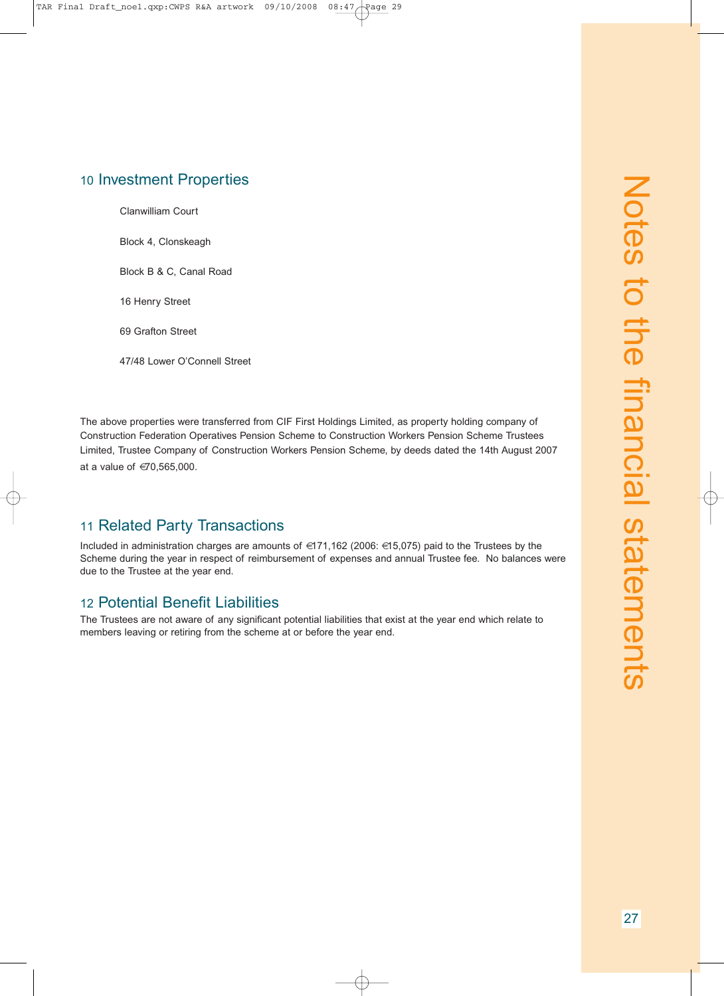## 10 Investment Properties

Clanwilliam Court

Block 4, Clonskeagh

Block B & C, Canal Road

16 Henry Street

69 Grafton Street

47/48 Lower O'Connell Street

The above properties were transferred from CIF First Holdings Limited, as property holding company of Construction Federation Operatives Pension Scheme to Construction Workers Pension Scheme Trustees Limited, Trustee Company of Construction Workers Pension Scheme, by deeds dated the 14th August 2007 at a value of €70,565,000.

#### 11 Related Party Transactions

Included in administration charges are amounts of €171,162 (2006: €15,075) paid to the Trustees by the Scheme during the year in respect of reimbursement of expenses and annual Trustee fee. No balances were due to the Trustee at the year end.

#### 12 Potential Benefit Liabilities

The Trustees are not aware of any significant potential liabilities that exist at the year end which relate to members leaving or retiring from the scheme at or before the year end.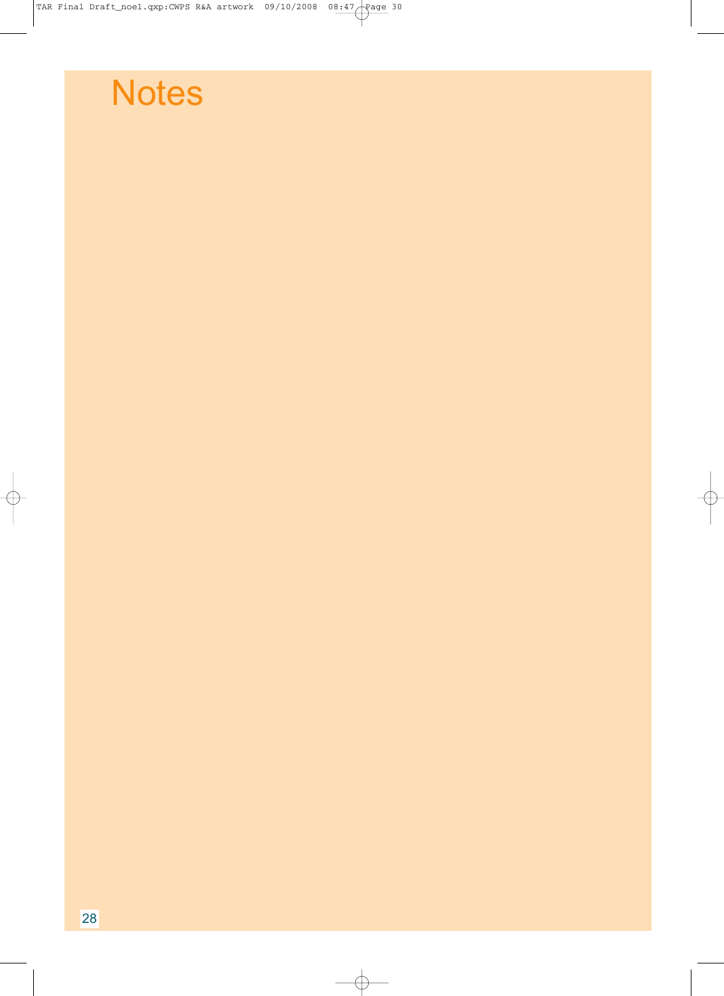$\overline{\bigoplus}$ 

# **Notes**